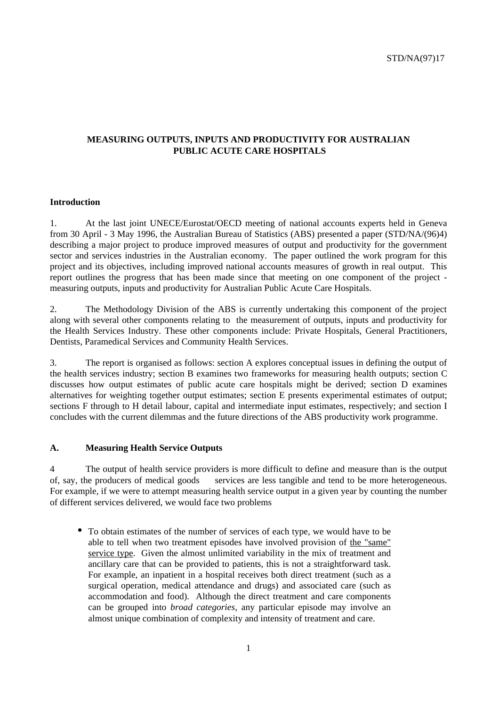# **MEASURING OUTPUTS, INPUTS AND PRODUCTIVITY FOR AUSTRALIAN PUBLIC ACUTE CARE HOSPITALS**

#### **Introduction**

1. At the last joint UNECE/Eurostat/OECD meeting of national accounts experts held in Geneva from 30 April - 3 May 1996, the Australian Bureau of Statistics (ABS) presented a paper (STD/NA/(96)4) describing a major project to produce improved measures of output and productivity for the government sector and services industries in the Australian economy. The paper outlined the work program for this project and its objectives, including improved national accounts measures of growth in real output. This report outlines the progress that has been made since that meeting on one component of the project measuring outputs, inputs and productivity for Australian Public Acute Care Hospitals.

2. The Methodology Division of the ABS is currently undertaking this component of the project along with several other components relating to the measurement of outputs, inputs and productivity for the Health Services Industry. These other components include: Private Hospitals, General Practitioners, Dentists, Paramedical Services and Community Health Services.

3. The report is organised as follows: section A explores conceptual issues in defining the output of the health services industry; section B examines two frameworks for measuring health outputs; section C discusses how output estimates of public acute care hospitals might be derived; section D examines alternatives for weighting together output estimates; section E presents experimental estimates of output; sections F through to H detail labour, capital and intermediate input estimates, respectively; and section I concludes with the current dilemmas and the future directions of the ABS productivity work programme.

#### **A. Measuring Health Service Outputs**

4 The output of health service providers is more difficult to define and measure than is the output of, say, the producers of medical goods — services are less tangible and tend to be more heterogeneous. For example, if we were to attempt measuring health service output in a given year by counting the number of different services delivered, we would face two problems

• To obtain estimates of the number of services of each type, we would have to be able to tell when two treatment episodes have involved provision of the "same" service type. Given the almost unlimited variability in the mix of treatment and ancillary care that can be provided to patients, this is not a straightforward task. For example, an inpatient in a hospital receives both direct treatment (such as a surgical operation, medical attendance and drugs) and associated care (such as accommodation and food). Although the direct treatment and care components can be grouped into *broad categories,* any particular episode may involve an almost unique combination of complexity and intensity of treatment and care.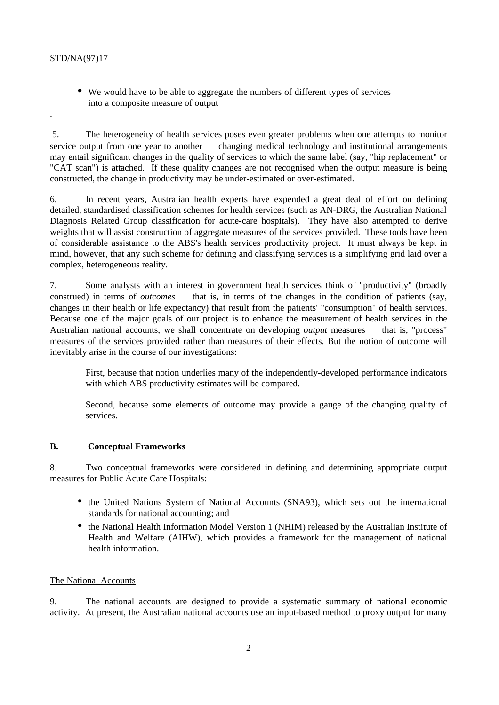.

• We would have to be able to aggregate the numbers of different types of services into a composite measure of output

 5. The heterogeneity of health services poses even greater problems when one attempts to monitor service output from one year to another  $\frac{d}{dx}$  changing medical technology and institutional arrangements may entail significant changes in the quality of services to which the same label (say, "hip replacement" or "CAT scan") is attached. If these quality changes are not recognised when the output measure is being constructed, the change in productivity may be under-estimated or over-estimated.

6. In recent years, Australian health experts have expended a great deal of effort on defining detailed, standardised classification schemes for health services (such as AN-DRG, the Australian National Diagnosis Related Group classification for acute-care hospitals). They have also attempted to derive weights that will assist construction of aggregate measures of the services provided. These tools have been of considerable assistance to the ABS's health services productivity project. It must always be kept in mind, however, that any such scheme for defining and classifying services is a simplifying grid laid over a complex, heterogeneous reality.

7. Some analysts with an interest in government health services think of "productivity" (broadly construed) in terms of *outcomes* — that is, in terms of the changes in the condition of patients (say, changes in their health or life expectancy) that result from the patients' "consumption" of health services. Because one of the major goals of our project is to enhance the measurement of health services in the Australian national accounts, we shall concentrate on developing *output* measures — that is, "process" measures of the services provided rather than measures of their effects. But the notion of outcome will inevitably arise in the course of our investigations:

First, because that notion underlies many of the independently-developed performance indicators with which ABS productivity estimates will be compared.

Second, because some elements of outcome may provide a gauge of the changing quality of services.

#### **B. Conceptual Frameworks**

8. Two conceptual frameworks were considered in defining and determining appropriate output measures for Public Acute Care Hospitals:

- the United Nations System of National Accounts (SNA93), which sets out the international standards for national accounting; and
- the National Health Information Model Version 1 (NHIM) released by the Australian Institute of Health and Welfare (AIHW), which provides a framework for the management of national health information.

#### The National Accounts

9. The national accounts are designed to provide a systematic summary of national economic activity. At present, the Australian national accounts use an input-based method to proxy output for many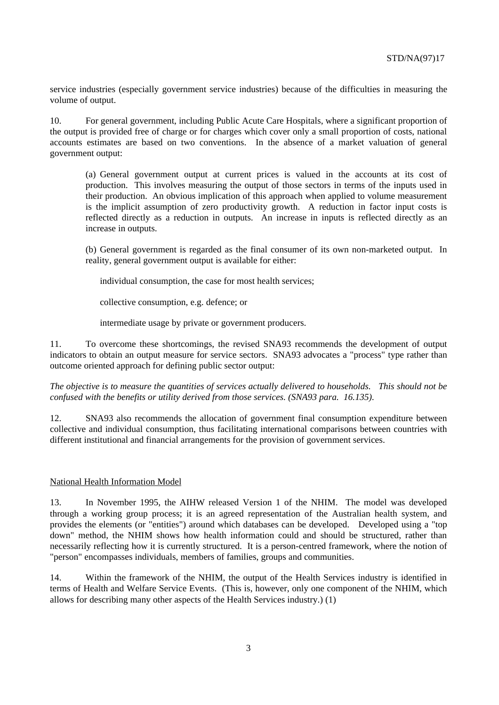service industries (especially government service industries) because of the difficulties in measuring the volume of output.

10. For general government, including Public Acute Care Hospitals, where a significant proportion of the output is provided free of charge or for charges which cover only a small proportion of costs, national accounts estimates are based on two conventions. In the absence of a market valuation of general government output:

(a) General government output at current prices is valued in the accounts at its cost of production. This involves measuring the output of those sectors in terms of the inputs used in their production. An obvious implication of this approach when applied to volume measurement is the implicit assumption of zero productivity growth. A reduction in factor input costs is reflected directly as a reduction in outputs. An increase in inputs is reflected directly as an increase in outputs.

(b) General government is regarded as the final consumer of its own non-marketed output. In reality, general government output is available for either:

individual consumption, the case for most health services;

collective consumption, e.g. defence; or

intermediate usage by private or government producers.

11. To overcome these shortcomings, the revised SNA93 recommends the development of output indicators to obtain an output measure for service sectors. SNA93 advocates a "process" type rather than outcome oriented approach for defining public sector output:

*The objective is to measure the quantities of services actually delivered to households. This should not be confused with the benefits or utility derived from those services. (SNA93 para. 16.135).*

12. SNA93 also recommends the allocation of government final consumption expenditure between collective and individual consumption, thus facilitating international comparisons between countries with different institutional and financial arrangements for the provision of government services.

#### National Health Information Model

13. In November 1995, the AIHW released Version 1 of the NHIM. The model was developed through a working group process; it is an agreed representation of the Australian health system, and provides the elements (or "entities") around which databases can be developed. Developed using a "top down" method, the NHIM shows how health information could and should be structured, rather than necessarily reflecting how it is currently structured. It is a person-centred framework, where the notion of "person" encompasses individuals, members of families, groups and communities.

14. Within the framework of the NHIM, the output of the Health Services industry is identified in terms of Health and Welfare Service Events. (This is, however, only one component of the NHIM, which allows for describing many other aspects of the Health Services industry.) (1)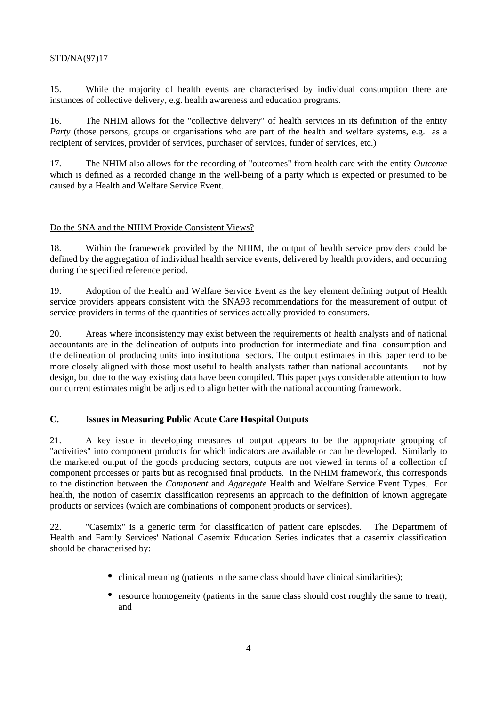15. While the majority of health events are characterised by individual consumption there are instances of collective delivery, e.g. health awareness and education programs.

16. The NHIM allows for the "collective delivery" of health services in its definition of the entity *Party* (those persons, groups or organisations who are part of the health and welfare systems, e.g. as a recipient of services, provider of services, purchaser of services, funder of services, etc.)

17. The NHIM also allows for the recording of "outcomes" from health care with the entity *Outcome* which is defined as a recorded change in the well-being of a party which is expected or presumed to be caused by a Health and Welfare Service Event.

# Do the SNA and the NHIM Provide Consistent Views?

18. Within the framework provided by the NHIM, the output of health service providers could be defined by the aggregation of individual health service events, delivered by health providers, and occurring during the specified reference period.

19. Adoption of the Health and Welfare Service Event as the key element defining output of Health service providers appears consistent with the SNA93 recommendations for the measurement of output of service providers in terms of the quantities of services actually provided to consumers.

20. Areas where inconsistency may exist between the requirements of health analysts and of national accountants are in the delineation of outputs into production for intermediate and final consumption and the delineation of producing units into institutional sectors. The output estimates in this paper tend to be more closely aligned with those most useful to health analysts rather than national accountants — not by design, but due to the way existing data have been compiled. This paper pays considerable attention to how our current estimates might be adjusted to align better with the national accounting framework.

# **C. Issues in Measuring Public Acute Care Hospital Outputs**

21. A key issue in developing measures of output appears to be the appropriate grouping of "activities" into component products for which indicators are available or can be developed. Similarly to the marketed output of the goods producing sectors, outputs are not viewed in terms of a collection of component processes or parts but as recognised final products. In the NHIM framework, this corresponds to the distinction between the *Component* and *Aggregate* Health and Welfare Service Event Types. For health, the notion of casemix classification represents an approach to the definition of known aggregate products or services (which are combinations of component products or services).

22. "Casemix" is a generic term for classification of patient care episodes. The Department of Health and Family Services' National Casemix Education Series indicates that a casemix classification should be characterised by:

- clinical meaning (patients in the same class should have clinical similarities);
- resource homogeneity (patients in the same class should cost roughly the same to treat); and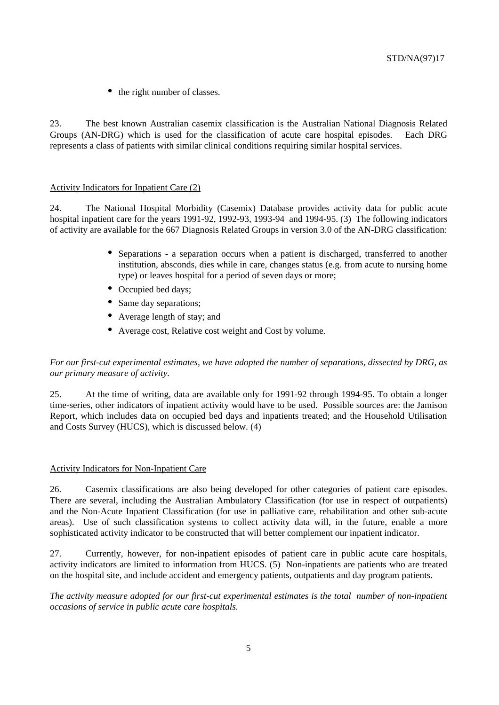• the right number of classes.

23. The best known Australian casemix classification is the Australian National Diagnosis Related Groups (AN-DRG) which is used for the classification of acute care hospital episodes. Each DRG represents a class of patients with similar clinical conditions requiring similar hospital services.

#### Activity Indicators for Inpatient Care (2)

24. The National Hospital Morbidity (Casemix) Database provides activity data for public acute hospital inpatient care for the years 1991-92, 1992-93, 1993-94 and 1994-95. (3) The following indicators of activity are available for the 667 Diagnosis Related Groups in version 3.0 of the AN-DRG classification:

- Separations a separation occurs when a patient is discharged, transferred to another institution, absconds, dies while in care, changes status (e.g. from acute to nursing home type) or leaves hospital for a period of seven days or more;
- Occupied bed days:
- Same day separations;
- Average length of stay; and
- Average cost, Relative cost weight and Cost by volume.

*For our first-cut experimental estimates, we have adopted the number of separations, dissected by DRG, as our primary measure of activity.*

25. At the time of writing, data are available only for 1991-92 through 1994-95. To obtain a longer time-series, other indicators of inpatient activity would have to be used. Possible sources are: the Jamison Report, which includes data on occupied bed days and inpatients treated; and the Household Utilisation and Costs Survey (HUCS), which is discussed below. (4)

#### Activity Indicators for Non-Inpatient Care

26. Casemix classifications are also being developed for other categories of patient care episodes. There are several, including the Australian Ambulatory Classification (for use in respect of outpatients) and the Non-Acute Inpatient Classification (for use in palliative care, rehabilitation and other sub-acute areas). Use of such classification systems to collect activity data will, in the future, enable a more sophisticated activity indicator to be constructed that will better complement our inpatient indicator.

27. Currently, however, for non-inpatient episodes of patient care in public acute care hospitals, activity indicators are limited to information from HUCS. (5) Non-inpatients are patients who are treated on the hospital site, and include accident and emergency patients, outpatients and day program patients.

*The activity measure adopted for our first-cut experimental estimates is the total number of non-inpatient occasions of service in public acute care hospitals.*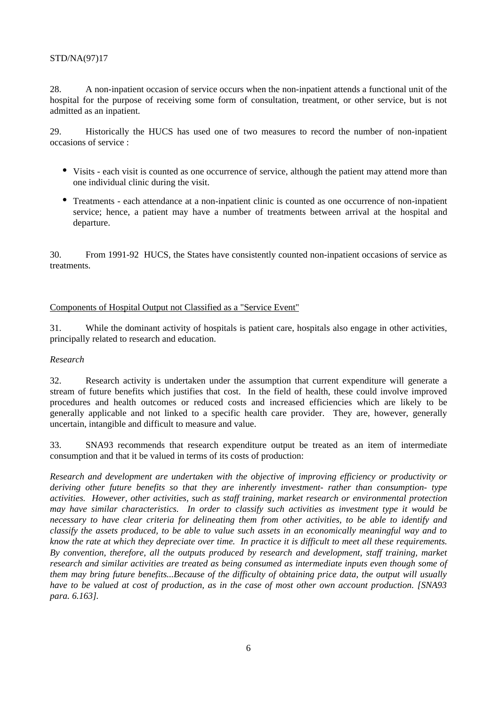28. A non-inpatient occasion of service occurs when the non-inpatient attends a functional unit of the hospital for the purpose of receiving some form of consultation, treatment, or other service, but is not admitted as an inpatient.

29. Historically the HUCS has used one of two measures to record the number of non-inpatient occasions of service :

- Visits each visit is counted as one occurrence of service, although the patient may attend more than one individual clinic during the visit.
- Treatments each attendance at a non-inpatient clinic is counted as one occurrence of non-inpatient service; hence, a patient may have a number of treatments between arrival at the hospital and departure.

30. From 1991-92 HUCS, the States have consistently counted non-inpatient occasions of service as treatments.

# Components of Hospital Output not Classified as a "Service Event"

31. While the dominant activity of hospitals is patient care, hospitals also engage in other activities, principally related to research and education.

#### *Research*

32. Research activity is undertaken under the assumption that current expenditure will generate a stream of future benefits which justifies that cost. In the field of health, these could involve improved procedures and health outcomes or reduced costs and increased efficiencies which are likely to be generally applicable and not linked to a specific health care provider. They are, however, generally uncertain, intangible and difficult to measure and value.

33. SNA93 recommends that research expenditure output be treated as an item of intermediate consumption and that it be valued in terms of its costs of production:

*Research and development are undertaken with the objective of improving efficiency or productivity or deriving other future benefits so that they are inherently investment- rather than consumption- type activities. However, other activities, such as staff training, market research or environmental protection may have similar characteristics. In order to classify such activities as investment type it would be necessary to have clear criteria for delineating them from other activities, to be able to identify and classify the assets produced, to be able to value such assets in an economically meaningful way and to know the rate at which they depreciate over time. In practice it is difficult to meet all these requirements. By convention, therefore, all the outputs produced by research and development, staff training, market research and similar activities are treated as being consumed as intermediate inputs even though some of them may bring future benefits...Because of the difficulty of obtaining price data, the output will usually have to be valued at cost of production, as in the case of most other own account production. [SNA93 para. 6.163].*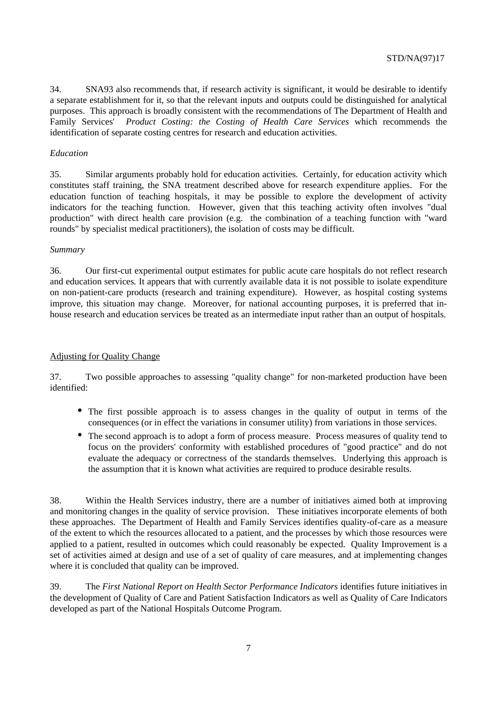34. SNA93 also recommends that, if research activity is significant, it would be desirable to identify a separate establishment for it, so that the relevant inputs and outputs could be distinguished for analytical purposes. This approach is broadly consistent with the recommendations of The Department of Health and Family Services' *Product Costing: the Costing of Health Care Services* which recommends the identification of separate costing centres for research and education activities.

#### *Education*

35. Similar arguments probably hold for education activities. Certainly, for education activity which constitutes staff training, the SNA treatment described above for research expenditure applies. For the education function of teaching hospitals, it may be possible to explore the development of activity indicators for the teaching function. However, given that this teaching activity often involves "dual production" with direct health care provision (e.g. the combination of a teaching function with "ward rounds" by specialist medical practitioners), the isolation of costs may be difficult.

#### *Summary*

36. Our first-cut experimental output estimates for public acute care hospitals do not reflect research and education services*.* It appears that with currently available data it is not possible to isolate expenditure on non-patient-care products (research and training expenditure). However, as hospital costing systems improve, this situation may change. Moreover, for national accounting purposes, it is preferred that inhouse research and education services be treated as an intermediate input rather than an output of hospitals.

#### Adjusting for Quality Change

37. Two possible approaches to assessing "quality change" for non-marketed production have been identified:

- The first possible approach is to assess changes in the quality of output in terms of the consequences (or in effect the variations in consumer utility) from variations in those services.
- The second approach is to adopt a form of process measure. Process measures of quality tend to focus on the providers' conformity with established procedures of "good practice" and do not evaluate the adequacy or correctness of the standards themselves. Underlying this approach is the assumption that it is known what activities are required to produce desirable results.

38. Within the Health Services industry, there are a number of initiatives aimed both at improving and monitoring changes in the quality of service provision. These initiatives incorporate elements of both these approaches. The Department of Health and Family Services identifies quality-of-care as a measure of the extent to which the resources allocated to a patient, and the processes by which those resources were applied to a patient, resulted in outcomes which could reasonably be expected. Quality Improvement is a set of activities aimed at design and use of a set of quality of care measures, and at implementing changes where it is concluded that quality can be improved.

39. The *First National Report on Health Sector Performance Indicators* identifies future initiatives in the development of Quality of Care and Patient Satisfaction Indicators as well as Quality of Care Indicators developed as part of the National Hospitals Outcome Program.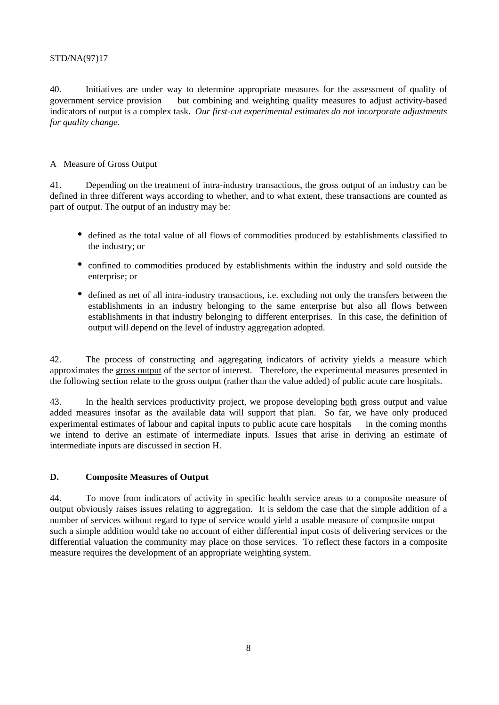40. Initiatives are under way to determine appropriate measures for the assessment of quality of government service provision — but combining and weighting quality measures to adjust activity-based indicators of output is a complex task. *Our first-cut experimental estimates do not incorporate adjustments for quality change.*

# A Measure of Gross Output

41. Depending on the treatment of intra-industry transactions, the gross output of an industry can be defined in three different ways according to whether, and to what extent, these transactions are counted as part of output. The output of an industry may be:

- defined as the total value of all flows of commodities produced by establishments classified to the industry; or
- confined to commodities produced by establishments within the industry and sold outside the enterprise; or
- defined as net of all intra-industry transactions, i.e. excluding not only the transfers between the establishments in an industry belonging to the same enterprise but also all flows between establishments in that industry belonging to different enterprises. In this case, the definition of output will depend on the level of industry aggregation adopted.

42. The process of constructing and aggregating indicators of activity yields a measure which approximates the gross output of the sector of interest. Therefore, the experimental measures presented in the following section relate to the gross output (rather than the value added) of public acute care hospitals.

43. In the health services productivity project, we propose developing both gross output and value added measures insofar as the available data will support that plan. So far, we have only produced experimental estimates of labour and capital inputs to public acute care hospitals — in the coming months we intend to derive an estimate of intermediate inputs. Issues that arise in deriving an estimate of intermediate inputs are discussed in section H.

#### **D. Composite Measures of Output**

44. To move from indicators of activity in specific health service areas to a composite measure of output obviously raises issues relating to aggregation. It is seldom the case that the simple addition of a number of services without regard to type of service would yield a usable measure of composite output such a simple addition would take no account of either differential input costs of delivering services or the differential valuation the community may place on those services. To reflect these factors in a composite measure requires the development of an appropriate weighting system.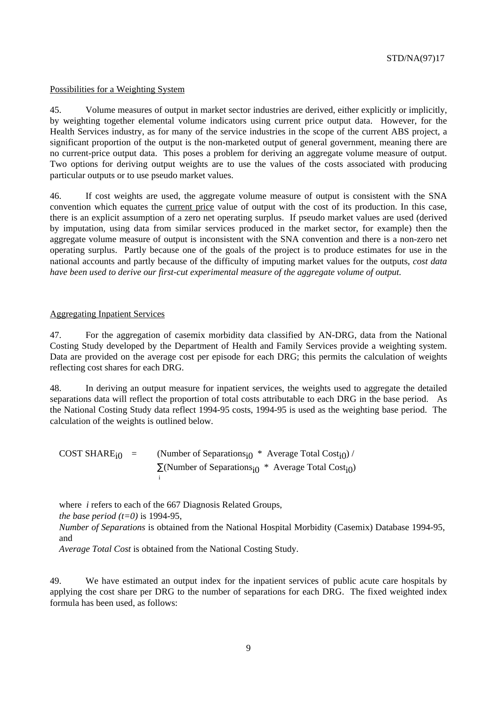#### Possibilities for a Weighting System

45. Volume measures of output in market sector industries are derived, either explicitly or implicitly, by weighting together elemental volume indicators using current price output data. However, for the Health Services industry, as for many of the service industries in the scope of the current ABS project, a significant proportion of the output is the non-marketed output of general government, meaning there are no current-price output data. This poses a problem for deriving an aggregate volume measure of output. Two options for deriving output weights are to use the values of the costs associated with producing particular outputs or to use pseudo market values.

46. If cost weights are used, the aggregate volume measure of output is consistent with the SNA convention which equates the current price value of output with the cost of its production. In this case, there is an explicit assumption of a zero net operating surplus. If pseudo market values are used (derived by imputation, using data from similar services produced in the market sector, for example) then the aggregate volume measure of output is inconsistent with the SNA convention and there is a non-zero net operating surplus. Partly because one of the goals of the project is to produce estimates for use in the national accounts and partly because of the difficulty of imputing market values for the outputs, *cost data have been used to derive our first-cut experimental measure of the aggregate volume of output.*

#### Aggregating Inpatient Services

47. For the aggregation of casemix morbidity data classified by AN-DRG, data from the National Costing Study developed by the Department of Health and Family Services provide a weighting system. Data are provided on the average cost per episode for each DRG; this permits the calculation of weights reflecting cost shares for each DRG.

48. In deriving an output measure for inpatient services, the weights used to aggregate the detailed separations data will reflect the proportion of total costs attributable to each DRG in the base period. As the National Costing Study data reflect 1994-95 costs, 1994-95 is used as the weighting base period. The calculation of the weights is outlined below.

COST SHARE<sub>i0</sub> = (Number of Separations<sub>i0</sub> \* Average Total Cost<sub>i0</sub>) /  $\Sigma(N$ umber of Separations<sub>i0</sub> \* Average Total Cost<sub>i0</sub>) i

where *i* refers to each of the 667 Diagnosis Related Groups,

*the base period (t=0)* is 1994-95,

*Number of Separations* is obtained from the National Hospital Morbidity (Casemix) Database 1994-95, and

*Average Total Cost* is obtained from the National Costing Study.

49. We have estimated an output index for the inpatient services of public acute care hospitals by applying the cost share per DRG to the number of separations for each DRG. The fixed weighted index formula has been used, as follows: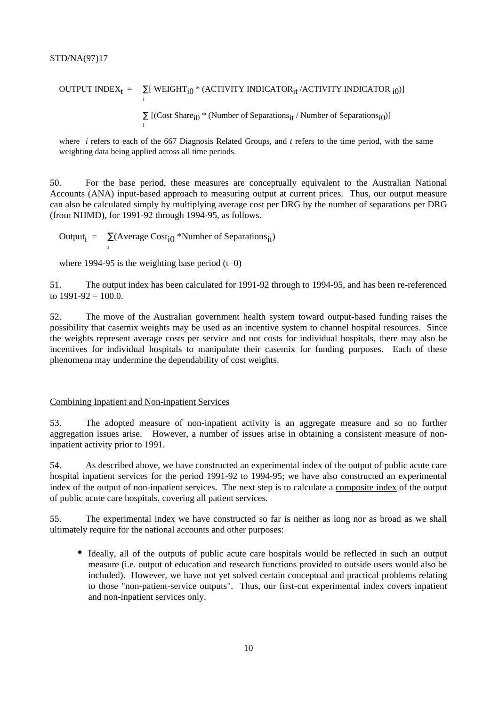# OUTPUT INDEX<sub>t</sub> =  $\sum_{i}$ [ WEIGHT<sub>i $0$ </sub> \* (ACTIVITY INDICATOR<sub>it</sub> /ACTIVITY INDICATOR <sub>i0</sub>)]

 $\sum$  [(Cost Share<sub>i</sub><sup>0</sup> \* (Number of Separations<sub>it</sub> / Number of Separations<sub>i0</sub>)]

where *i* refers to each of the 667 Diagnosis Related Groups, and *t* refers to the time period, with the same weighting data being applied across all time periods.

50. For the base period, these measures are conceptually equivalent to the Australian National Accounts (ANA) input-based approach to measuring output at current prices. Thus, our output measure can also be calculated simply by multiplying average cost per DRG by the number of separations per DRG (from NHMD), for 1991-92 through 1994-95, as follows.

Output<sub>t</sub> =  $\sum_{i}$ (Average Cost<sub>i</sub><sup>+</sup>Number of Separations<sub>it</sub>)

where 1994-95 is the weighting base period  $(t=0)$ 

i

51. The output index has been calculated for 1991-92 through to 1994-95, and has been re-referenced to  $1991-92 = 100.0$ .

52. The move of the Australian government health system toward output-based funding raises the possibility that casemix weights may be used as an incentive system to channel hospital resources. Since the weights represent average costs per service and not costs for individual hospitals, there may also be incentives for individual hospitals to manipulate their casemix for funding purposes. Each of these phenomena may undermine the dependability of cost weights.

#### Combining Inpatient and Non-inpatient Services

53. The adopted measure of non-inpatient activity is an aggregate measure and so no further aggregation issues arise. However, a number of issues arise in obtaining a consistent measure of noninpatient activity prior to 1991.

54. As described above, we have constructed an experimental index of the output of public acute care hospital inpatient services for the period 1991-92 to 1994-95; we have also constructed an experimental index of the output of non-inpatient services. The next step is to calculate a composite index of the output of public acute care hospitals, covering all patient services.

55. The experimental index we have constructed so far is neither as long nor as broad as we shall ultimately require for the national accounts and other purposes:

• Ideally, all of the outputs of public acute care hospitals would be reflected in such an output measure (i.e. output of education and research functions provided to outside users would also be included). However, we have not yet solved certain conceptual and practical problems relating to those "non-patient-service outputs". Thus, our first-cut experimental index covers inpatient and non-inpatient services only.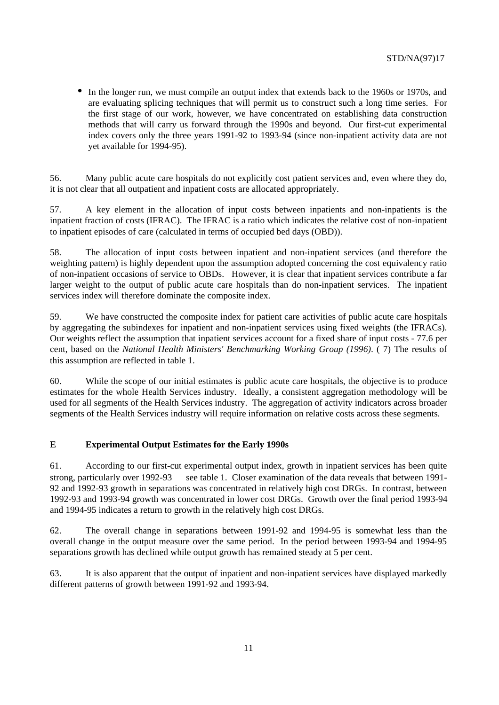• In the longer run, we must compile an output index that extends back to the 1960s or 1970s, and are evaluating splicing techniques that will permit us to construct such a long time series. For the first stage of our work, however, we have concentrated on establishing data construction methods that will carry us forward through the 1990s and beyond. Our first-cut experimental index covers only the three years 1991-92 to 1993-94 (since non-inpatient activity data are not yet available for 1994-95).

56. Many public acute care hospitals do not explicitly cost patient services and, even where they do, it is not clear that all outpatient and inpatient costs are allocated appropriately.

57. A key element in the allocation of input costs between inpatients and non-inpatients is the inpatient fraction of costs (IFRAC). The IFRAC is a ratio which indicates the relative cost of non-inpatient to inpatient episodes of care (calculated in terms of occupied bed days (OBD)).

58. The allocation of input costs between inpatient and non-inpatient services (and therefore the weighting pattern) is highly dependent upon the assumption adopted concerning the cost equivalency ratio of non-inpatient occasions of service to OBDs. However, it is clear that inpatient services contribute a far larger weight to the output of public acute care hospitals than do non-inpatient services. The inpatient services index will therefore dominate the composite index.

59. We have constructed the composite index for patient care activities of public acute care hospitals by aggregating the subindexes for inpatient and non-inpatient services using fixed weights (the IFRACs). Our weights reflect the assumption that inpatient services account for a fixed share of input costs - 77.6 per cent, based on the *National Health Ministers' Benchmarking Working Group (1996)*. ( 7) The results of this assumption are reflected in table 1.

60. While the scope of our initial estimates is public acute care hospitals, the objective is to produce estimates for the whole Health Services industry. Ideally, a consistent aggregation methodology will be used for all segments of the Health Services industry. The aggregation of activity indicators across broader segments of the Health Services industry will require information on relative costs across these segments.

#### **E Experimental Output Estimates for the Early 1990s**

61. According to our first-cut experimental output index, growth in inpatient services has been quite strong, particularly over  $1992-93$  — see table 1. Closer examination of the data reveals that between 1991-92 and 1992-93 growth in separations was concentrated in relatively high cost DRGs. In contrast, between 1992-93 and 1993-94 growth was concentrated in lower cost DRGs. Growth over the final period 1993-94 and 1994-95 indicates a return to growth in the relatively high cost DRGs.

62. The overall change in separations between 1991-92 and 1994-95 is somewhat less than the overall change in the output measure over the same period. In the period between 1993-94 and 1994-95 separations growth has declined while output growth has remained steady at 5 per cent.

63. It is also apparent that the output of inpatient and non-inpatient services have displayed markedly different patterns of growth between 1991-92 and 1993-94.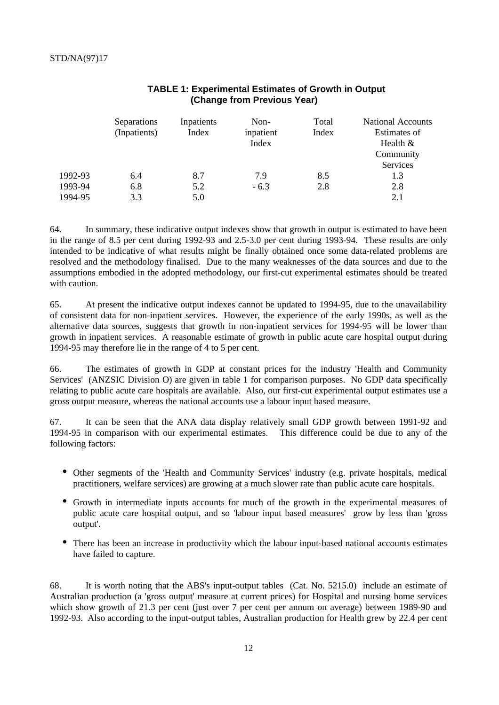|         | Separations<br>(Inpatients) | Inpatients<br>Index | Non-<br>inpatient<br>Index | Total<br>Index | <b>National Accounts</b><br>Estimates of<br>Health $&$ |
|---------|-----------------------------|---------------------|----------------------------|----------------|--------------------------------------------------------|
|         |                             |                     |                            |                | Community                                              |
|         |                             |                     |                            |                | Services                                               |
| 1992-93 | 6.4                         | 8.7                 | 7.9                        | 8.5            | 1.3                                                    |
| 1993-94 | 6.8                         | 5.2                 | $-6.3$                     | 2.8            | 2.8                                                    |
| 1994-95 | 3.3                         | 5.0                 |                            |                | 2.1                                                    |

# **TABLE 1: Experimental Estimates of Growth in Output (Change from Previous Year)**

64. In summary, these indicative output indexes show that growth in output is estimated to have been in the range of 8.5 per cent during 1992-93 and 2.5-3.0 per cent during 1993-94. These results are only intended to be indicative of what results might be finally obtained once some data-related problems are resolved and the methodology finalised. Due to the many weaknesses of the data sources and due to the assumptions embodied in the adopted methodology, our first-cut experimental estimates should be treated with caution.

65. At present the indicative output indexes cannot be updated to 1994-95, due to the unavailability of consistent data for non-inpatient services. However, the experience of the early 1990s, as well as the alternative data sources, suggests that growth in non-inpatient services for 1994-95 will be lower than growth in inpatient services. A reasonable estimate of growth in public acute care hospital output during 1994-95 may therefore lie in the range of 4 to 5 per cent.

66. The estimates of growth in GDP at constant prices for the industry 'Health and Community Services' (ANZSIC Division O) are given in table 1 for comparison purposes. No GDP data specifically relating to public acute care hospitals are available. Also, our first-cut experimental output estimates use a gross output measure, whereas the national accounts use a labour input based measure.

67. It can be seen that the ANA data display relatively small GDP growth between 1991-92 and 1994-95 in comparison with our experimental estimates. This difference could be due to any of the following factors:

- Other segments of the 'Health and Community Services' industry (e.g. private hospitals, medical practitioners, welfare services) are growing at a much slower rate than public acute care hospitals.
- Growth in intermediate inputs accounts for much of the growth in the experimental measures of public acute care hospital output, and so 'labour input based measures' grow by less than 'gross output'.
- There has been an increase in productivity which the labour input-based national accounts estimates have failed to capture.

68. It is worth noting that the ABS's input-output tables (Cat. No. 5215.0) include an estimate of Australian production (a 'gross output' measure at current prices) for Hospital and nursing home services which show growth of 21.3 per cent (just over 7 per cent per annum on average) between 1989-90 and 1992-93. Also according to the input-output tables, Australian production for Health grew by 22.4 per cent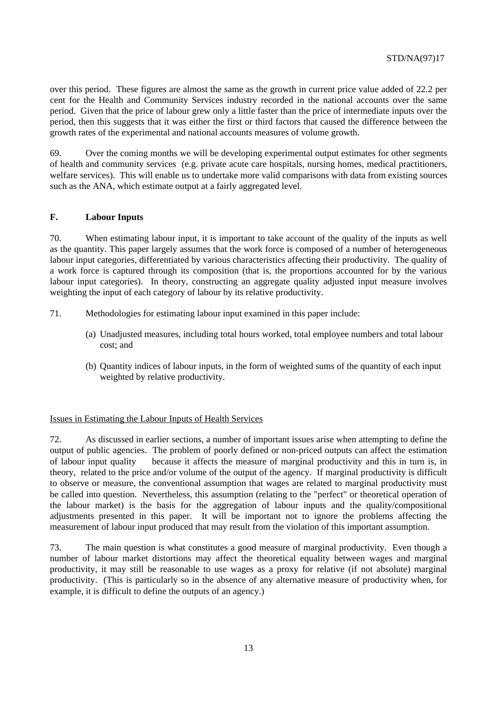over this period. These figures are almost the same as the growth in current price value added of 22.2 per cent for the Health and Community Services industry recorded in the national accounts over the same period. Given that the price of labour grew only a little faster than the price of intermediate inputs over the period, then this suggests that it was either the first or third factors that caused the difference between the growth rates of the experimental and national accounts measures of volume growth.

69. Over the coming months we will be developing experimental output estimates for other segments of health and community services (e.g. private acute care hospitals, nursing homes, medical practitioners, welfare services). This will enable us to undertake more valid comparisons with data from existing sources such as the ANA, which estimate output at a fairly aggregated level.

# **F. Labour Inputs**

70. When estimating labour input, it is important to take account of the quality of the inputs as well as the quantity. This paper largely assumes that the work force is composed of a number of heterogeneous labour input categories, differentiated by various characteristics affecting their productivity. The quality of a work force is captured through its composition (that is, the proportions accounted for by the various labour input categories). In theory, constructing an aggregate quality adjusted input measure involves weighting the input of each category of labour by its relative productivity.

- 71. Methodologies for estimating labour input examined in this paper include:
	- (a) Unadjusted measures, including total hours worked, total employee numbers and total labour cost; and
	- (b) Quantity indices of labour inputs, in the form of weighted sums of the quantity of each input weighted by relative productivity.

#### Issues in Estimating the Labour Inputs of Health Services

72. As discussed in earlier sections, a number of important issues arise when attempting to define the output of public agencies. The problem of poorly defined or non-priced outputs can affect the estimation of labour input quality because it affects the measure of marginal productivity and this in turn is, in theory, related to the price and/or volume of the output of the agency. If marginal productivity is difficult to observe or measure, the conventional assumption that wages are related to marginal productivity must be called into question. Nevertheless, this assumption (relating to the "perfect" or theoretical operation of the labour market) is the basis for the aggregation of labour inputs and the quality/compositional adjustments presented in this paper. It will be important not to ignore the problems affecting the measurement of labour input produced that may result from the violation of this important assumption.

73. The main question is what constitutes a good measure of marginal productivity. Even though a number of labour market distortions may affect the theoretical equality between wages and marginal productivity, it may still be reasonable to use wages as a proxy for relative (if not absolute) marginal productivity. (This is particularly so in the absence of any alternative measure of productivity when, for example, it is difficult to define the outputs of an agency.)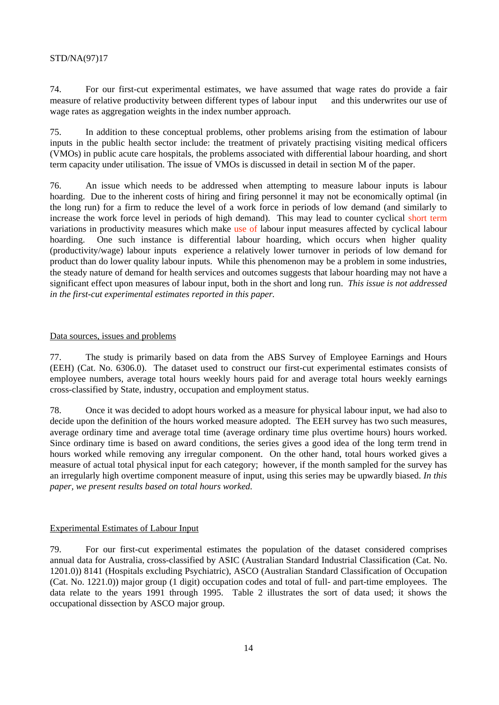74. For our first-cut experimental estimates, we have assumed that wage rates do provide a fair measure of relative productivity between different types of labour input — and this underwrites our use of wage rates as aggregation weights in the index number approach.

75. In addition to these conceptual problems, other problems arising from the estimation of labour inputs in the public health sector include: the treatment of privately practising visiting medical officers (VMOs) in public acute care hospitals, the problems associated with differential labour hoarding, and short term capacity under utilisation. The issue of VMOs is discussed in detail in section M of the paper.

76. An issue which needs to be addressed when attempting to measure labour inputs is labour hoarding. Due to the inherent costs of hiring and firing personnel it may not be economically optimal (in the long run) for a firm to reduce the level of a work force in periods of low demand (and similarly to increase the work force level in periods of high demand). This may lead to counter cyclical short term variations in productivity measures which make use of labour input measures affected by cyclical labour hoarding. One such instance is differential labour hoarding, which occurs when higher quality (productivity/wage) labour inputs experience a relatively lower turnover in periods of low demand for product than do lower quality labour inputs. While this phenomenon may be a problem in some industries, the steady nature of demand for health services and outcomes suggests that labour hoarding may not have a significant effect upon measures of labour input, both in the short and long run. *This issue is not addressed in the first-cut experimental estimates reported in this paper.*

#### Data sources, issues and problems

77. The study is primarily based on data from the ABS Survey of Employee Earnings and Hours (EEH) (Cat. No. 6306.0). The dataset used to construct our first-cut experimental estimates consists of employee numbers, average total hours weekly hours paid for and average total hours weekly earnings cross-classified by State, industry, occupation and employment status.

78. Once it was decided to adopt hours worked as a measure for physical labour input, we had also to decide upon the definition of the hours worked measure adopted. The EEH survey has two such measures, average ordinary time and average total time (average ordinary time plus overtime hours) hours worked. Since ordinary time is based on award conditions, the series gives a good idea of the long term trend in hours worked while removing any irregular component. On the other hand, total hours worked gives a measure of actual total physical input for each category; however, if the month sampled for the survey has an irregularly high overtime component measure of input, using this series may be upwardly biased. *In this paper, we present results based on total hours worked.*

#### Experimental Estimates of Labour Input

79. For our first-cut experimental estimates the population of the dataset considered comprises annual data for Australia, cross-classified by ASIC (Australian Standard Industrial Classification (Cat. No. 1201.0)) 8141 (Hospitals excluding Psychiatric), ASCO (Australian Standard Classification of Occupation (Cat. No. 1221.0)) major group (1 digit) occupation codes and total of full- and part-time employees. The data relate to the years 1991 through 1995. Table 2 illustrates the sort of data used; it shows the occupational dissection by ASCO major group.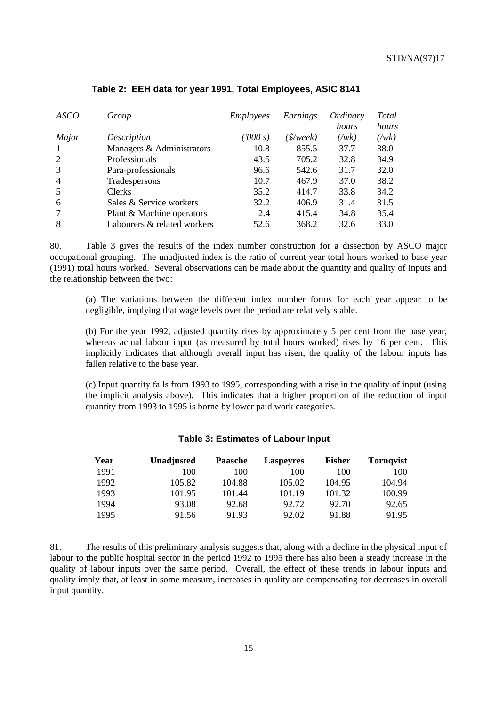| <b>ASCO</b>    | Group                       | <i>Employees</i> | Earnings  | Ordinary<br>hours | Total<br>hours |
|----------------|-----------------------------|------------------|-----------|-------------------|----------------|
| Major          | Description                 | (1000 s)         | (\$/week) | $(\forall wk)$    | $(\sqrt{wk})$  |
| $\mathbf{1}$   | Managers & Administrators   | 10.8             | 855.5     | 37.7              | 38.0           |
| 2              | Professionals               | 43.5             | 705.2     | 32.8              | 34.9           |
| 3              | Para-professionals          | 96.6             | 542.6     | 31.7              | 32.0           |
| $\overline{4}$ | Tradespersons               | 10.7             | 467.9     | 37.0              | 38.2           |
| 5              | <b>Clerks</b>               | 35.2             | 414.7     | 33.8              | 34.2           |
| 6              | Sales & Service workers     | 32.2             | 406.9     | 31.4              | 31.5           |
| $\tau$         | Plant & Machine operators   | 2.4              | 415.4     | 34.8              | 35.4           |
| 8              | Labourers & related workers | 52.6             | 368.2     | 32.6              | 33.0           |

# **Table 2: EEH data for year 1991, Total Employees, ASIC 8141**

80. Table 3 gives the results of the index number construction for a dissection by ASCO major occupational grouping. The unadjusted index is the ratio of current year total hours worked to base year (1991) total hours worked. Several observations can be made about the quantity and quality of inputs and the relationship between the two:

(a) The variations between the different index number forms for each year appear to be negligible, implying that wage levels over the period are relatively stable.

(b) For the year 1992, adjusted quantity rises by approximately 5 per cent from the base year, whereas actual labour input (as measured by total hours worked) rises by 6 per cent. This implicitly indicates that although overall input has risen, the quality of the labour inputs has fallen relative to the base year.

(c) Input quantity falls from 1993 to 1995, corresponding with a rise in the quality of input (using the implicit analysis above). This indicates that a higher proportion of the reduction of input quantity from 1993 to 1995 is borne by lower paid work categories.

#### **Table 3: Estimates of Labour Input**

| Year | Unadjusted | Paasche | Laspeyres | <b>Fisher</b> | <b>Tornqvist</b> |
|------|------------|---------|-----------|---------------|------------------|
| 1991 | 100        | 100     | 100       | 100           | 100              |
| 1992 | 105.82     | 104.88  | 105.02    | 104.95        | 104.94           |
| 1993 | 101.95     | 101.44  | 101.19    | 101.32        | 100.99           |
| 1994 | 93.08      | 92.68   | 92.72     | 92.70         | 92.65            |
| 1995 | 91.56      | 91.93   | 92.02     | 91.88         | 91.95            |

81. The results of this preliminary analysis suggests that, along with a decline in the physical input of labour to the public hospital sector in the period 1992 to 1995 there has also been a steady increase in the quality of labour inputs over the same period. Overall, the effect of these trends in labour inputs and quality imply that, at least in some measure, increases in quality are compensating for decreases in overall input quantity.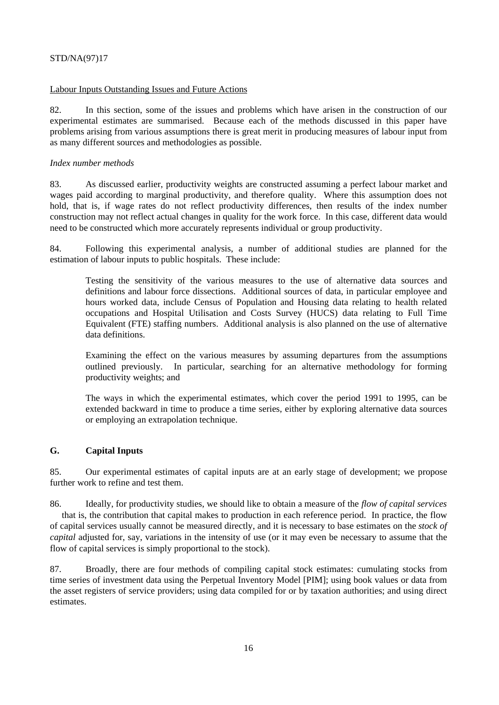#### Labour Inputs Outstanding Issues and Future Actions

82. In this section, some of the issues and problems which have arisen in the construction of our experimental estimates are summarised. Because each of the methods discussed in this paper have problems arising from various assumptions there is great merit in producing measures of labour input from as many different sources and methodologies as possible.

# *Index number methods*

83. As discussed earlier, productivity weights are constructed assuming a perfect labour market and wages paid according to marginal productivity, and therefore quality. Where this assumption does not hold, that is, if wage rates do not reflect productivity differences, then results of the index number construction may not reflect actual changes in quality for the work force. In this case, different data would need to be constructed which more accurately represents individual or group productivity.

84. Following this experimental analysis, a number of additional studies are planned for the estimation of labour inputs to public hospitals. These include:

Testing the sensitivity of the various measures to the use of alternative data sources and definitions and labour force dissections. Additional sources of data, in particular employee and hours worked data, include Census of Population and Housing data relating to health related occupations and Hospital Utilisation and Costs Survey (HUCS) data relating to Full Time Equivalent (FTE) staffing numbers. Additional analysis is also planned on the use of alternative data definitions.

Examining the effect on the various measures by assuming departures from the assumptions outlined previously. In particular, searching for an alternative methodology for forming productivity weights; and

The ways in which the experimental estimates, which cover the period 1991 to 1995, can be extended backward in time to produce a time series, either by exploring alternative data sources or employing an extrapolation technique.

# **G. Capital Inputs**

85. Our experimental estimates of capital inputs are at an early stage of development; we propose further work to refine and test them.

86. Ideally, for productivity studies, we should like to obtain a measure of the *flow of capital services* — that is, the contribution that capital makes to production in each reference period. In practice, the flow of capital services usually cannot be measured directly, and it is necessary to base estimates on the *stock of capital* adjusted for, say, variations in the intensity of use (or it may even be necessary to assume that the flow of capital services is simply proportional to the stock).

87. Broadly, there are four methods of compiling capital stock estimates: cumulating stocks from time series of investment data using the Perpetual Inventory Model [PIM]; using book values or data from the asset registers of service providers; using data compiled for or by taxation authorities; and using direct estimates.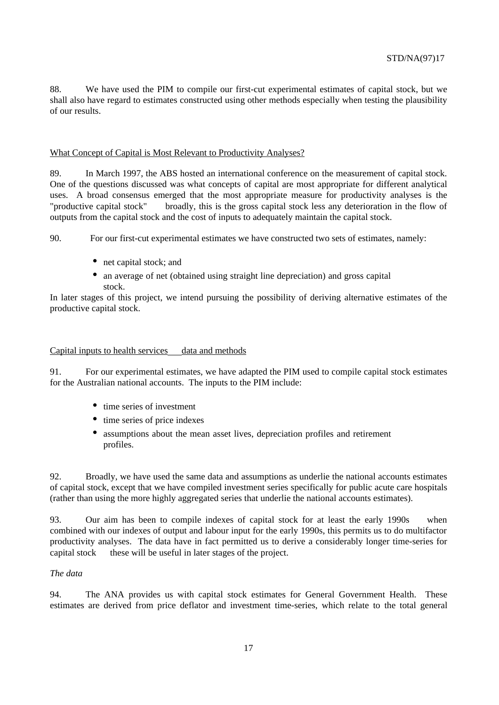88. We have used the PIM to compile our first-cut experimental estimates of capital stock, but we shall also have regard to estimates constructed using other methods especially when testing the plausibility of our results.

#### What Concept of Capital is Most Relevant to Productivity Analyses?

89. In March 1997, the ABS hosted an international conference on the measurement of capital stock. One of the questions discussed was what concepts of capital are most appropriate for different analytical uses. A broad consensus emerged that the most appropriate measure for productivity analyses is the "productive capital stock" — broadly, this is the gross capital stock less any deterioration in the flow of outputs from the capital stock and the cost of inputs to adequately maintain the capital stock.

90. For our first-cut experimental estimates we have constructed two sets of estimates, namely:

- net capital stock; and
- an average of net (obtained using straight line depreciation) and gross capital stock.

In later stages of this project, we intend pursuing the possibility of deriving alternative estimates of the productive capital stock.

#### Capital inputs to health services — data and methods

91. For our experimental estimates, we have adapted the PIM used to compile capital stock estimates for the Australian national accounts. The inputs to the PIM include:

- time series of investment
- time series of price indexes
- assumptions about the mean asset lives, depreciation profiles and retirement profiles.

92. Broadly, we have used the same data and assumptions as underlie the national accounts estimates of capital stock, except that we have compiled investment series specifically for public acute care hospitals (rather than using the more highly aggregated series that underlie the national accounts estimates).

93. Our aim has been to compile indexes of capital stock for at least the early 1990s — when combined with our indexes of output and labour input for the early 1990s, this permits us to do multifactor productivity analyses. The data have in fact permitted us to derive a considerably longer time-series for capital stock — these will be useful in later stages of the project.

# *The data*

94. The ANA provides us with capital stock estimates for General Government Health. These estimates are derived from price deflator and investment time-series, which relate to the total general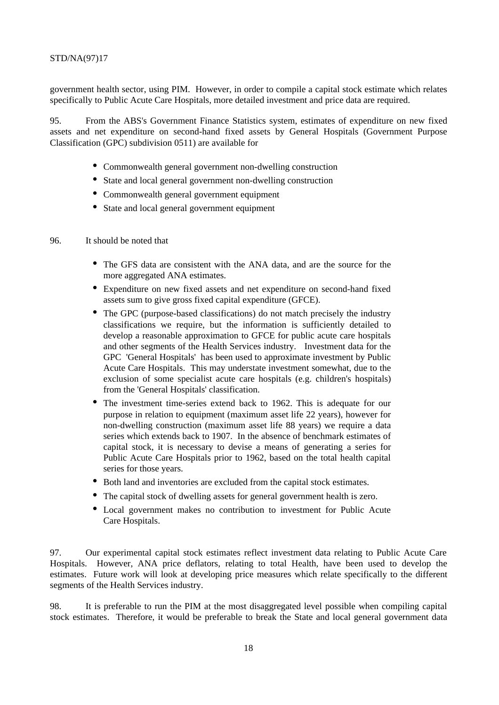government health sector, using PIM. However, in order to compile a capital stock estimate which relates specifically to Public Acute Care Hospitals, more detailed investment and price data are required.

95. From the ABS's Government Finance Statistics system, estimates of expenditure on new fixed assets and net expenditure on second-hand fixed assets by General Hospitals (Government Purpose Classification (GPC) subdivision 0511) are available for

- Commonwealth general government non-dwelling construction
- State and local general government non-dwelling construction
- Commonwealth general government equipment
- State and local general government equipment
- 96. It should be noted that
	- The GFS data are consistent with the ANA data, and are the source for the more aggregated ANA estimates.
	- Expenditure on new fixed assets and net expenditure on second-hand fixed assets sum to give gross fixed capital expenditure (GFCE).
	- The GPC (purpose-based classifications) do not match precisely the industry classifications we require, but the information is sufficiently detailed to develop a reasonable approximation to GFCE for public acute care hospitals and other segments of the Health Services industry. Investment data for the GPC 'General Hospitals' has been used to approximate investment by Public Acute Care Hospitals. This may understate investment somewhat, due to the exclusion of some specialist acute care hospitals (e.g. children's hospitals) from the 'General Hospitals' classification.
	- The investment time-series extend back to 1962. This is adequate for our purpose in relation to equipment (maximum asset life 22 years), however for non-dwelling construction (maximum asset life 88 years) we require a data series which extends back to 1907. In the absence of benchmark estimates of capital stock, it is necessary to devise a means of generating a series for Public Acute Care Hospitals prior to 1962, based on the total health capital series for those years.
	- Both land and inventories are excluded from the capital stock estimates.
	- The capital stock of dwelling assets for general government health is zero.
	- Local government makes no contribution to investment for Public Acute Care Hospitals.

97. Our experimental capital stock estimates reflect investment data relating to Public Acute Care Hospitals. However, ANA price deflators, relating to total Health, have been used to develop the estimates. Future work will look at developing price measures which relate specifically to the different segments of the Health Services industry.

98. It is preferable to run the PIM at the most disaggregated level possible when compiling capital stock estimates. Therefore, it would be preferable to break the State and local general government data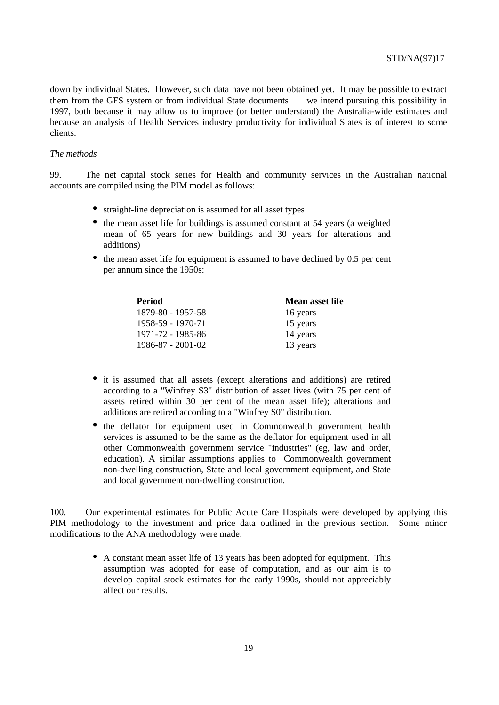down by individual States. However, such data have not been obtained yet. It may be possible to extract them from the GFS system or from individual State documents  $\frac{1}{x}$  we intend pursuing this possibility in 1997, both because it may allow us to improve (or better understand) the Australia-wide estimates and because an analysis of Health Services industry productivity for individual States is of interest to some clients.

#### *The methods*

99. The net capital stock series for Health and community services in the Australian national accounts are compiled using the PIM model as follows:

- straight-line depreciation is assumed for all asset types
- the mean asset life for buildings is assumed constant at 54 years (a weighted mean of 65 years for new buildings and 30 years for alterations and additions)
- the mean asset life for equipment is assumed to have declined by 0.5 per cent per annum since the 1950s:

| Period                  | <b>Mean asset life</b> |
|-------------------------|------------------------|
| 1879-80 - 1957-58       | 16 years               |
| 1958-59 - 1970-71       | 15 years               |
| 1971-72 - 1985-86       | 14 years               |
| $1986 - 87 - 2001 - 02$ | 13 years               |

- it is assumed that all assets (except alterations and additions) are retired according to a "Winfrey S3" distribution of asset lives (with 75 per cent of assets retired within 30 per cent of the mean asset life); alterations and additions are retired according to a "Winfrey S0" distribution.
- the deflator for equipment used in Commonwealth government health services is assumed to be the same as the deflator for equipment used in all other Commonwealth government service "industries" (eg, law and order, education). A similar assumptions applies to Commonwealth government non-dwelling construction, State and local government equipment, and State and local government non-dwelling construction.

100. Our experimental estimates for Public Acute Care Hospitals were developed by applying this PIM methodology to the investment and price data outlined in the previous section. Some minor modifications to the ANA methodology were made:

> • A constant mean asset life of 13 years has been adopted for equipment. This assumption was adopted for ease of computation, and as our aim is to develop capital stock estimates for the early 1990s, should not appreciably affect our results.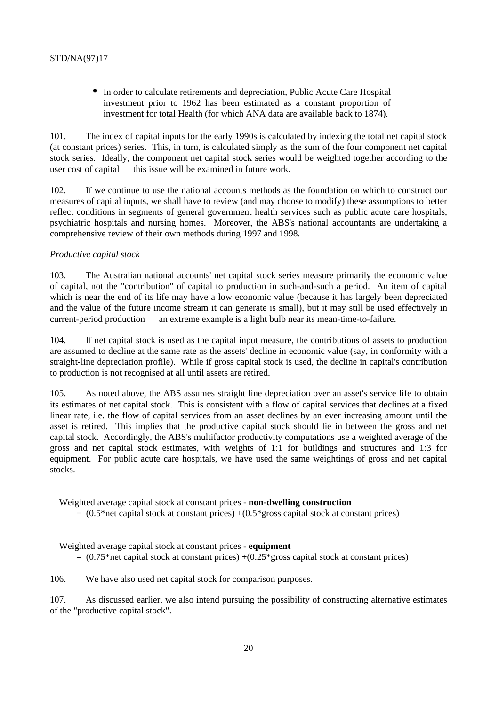• In order to calculate retirements and depreciation, Public Acute Care Hospital investment prior to 1962 has been estimated as a constant proportion of investment for total Health (for which ANA data are available back to 1874).

101. The index of capital inputs for the early 1990s is calculated by indexing the total net capital stock (at constant prices) series. This, in turn, is calculated simply as the sum of the four component net capital stock series. Ideally, the component net capital stock series would be weighted together according to the user cost of capital — this issue will be examined in future work.

102. If we continue to use the national accounts methods as the foundation on which to construct our measures of capital inputs, we shall have to review (and may choose to modify) these assumptions to better reflect conditions in segments of general government health services such as public acute care hospitals, psychiatric hospitals and nursing homes. Moreover, the ABS's national accountants are undertaking a comprehensive review of their own methods during 1997 and 1998.

#### *Productive capital stock*

103. The Australian national accounts' net capital stock series measure primarily the economic value of capital, not the "contribution" of capital to production in such-and-such a period. An item of capital which is near the end of its life may have a low economic value (because it has largely been depreciated and the value of the future income stream it can generate is small), but it may still be used effectively in current-period production — an extreme example is a light bulb near its mean-time-to-failure.

104. If net capital stock is used as the capital input measure, the contributions of assets to production are assumed to decline at the same rate as the assets' decline in economic value (say, in conformity with a straight-line depreciation profile). While if gross capital stock is used, the decline in capital's contribution to production is not recognised at all until assets are retired.

105. As noted above, the ABS assumes straight line depreciation over an asset's service life to obtain its estimates of net capital stock. This is consistent with a flow of capital services that declines at a fixed linear rate, i.e. the flow of capital services from an asset declines by an ever increasing amount until the asset is retired. This implies that the productive capital stock should lie in between the gross and net capital stock. Accordingly, the ABS's multifactor productivity computations use a weighted average of the gross and net capital stock estimates, with weights of 1:1 for buildings and structures and 1:3 for equipment. For public acute care hospitals, we have used the same weightings of gross and net capital stocks.

#### Weighted average capital stock at constant prices - **non-dwelling construction**

 $= (0.5<sup>*</sup>net capital stock at constant prices) + (0.5<sup>*</sup>gross capital stock at constant prices)$ 

Weighted average capital stock at constant prices - **equipment**

 $= (0.75<sup>*</sup>net capital stock at constant prices) + (0.25<sup>*</sup>eros capital stock at constant prices)$ 

106. We have also used net capital stock for comparison purposes.

107. As discussed earlier, we also intend pursuing the possibility of constructing alternative estimates of the "productive capital stock".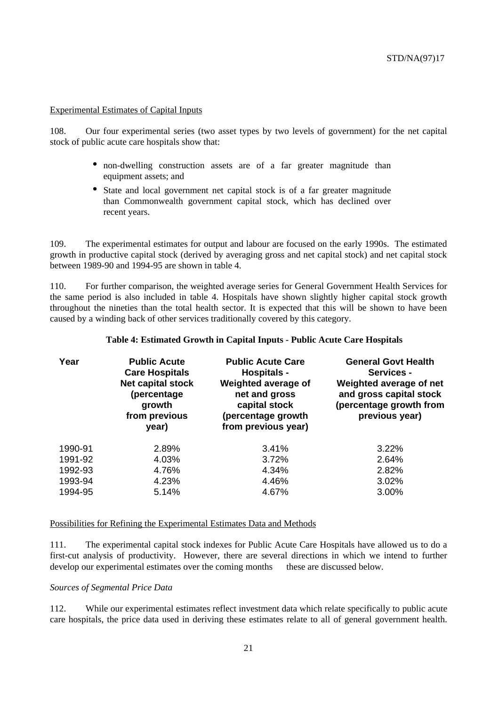#### Experimental Estimates of Capital Inputs

108. Our four experimental series (two asset types by two levels of government) for the net capital stock of public acute care hospitals show that:

- non-dwelling construction assets are of a far greater magnitude than equipment assets; and
- State and local government net capital stock is of a far greater magnitude than Commonwealth government capital stock, which has declined over recent years.

109. The experimental estimates for output and labour are focused on the early 1990s. The estimated growth in productive capital stock (derived by averaging gross and net capital stock) and net capital stock between 1989-90 and 1994-95 are shown in table 4.

110. For further comparison, the weighted average series for General Government Health Services for the same period is also included in table 4. Hospitals have shown slightly higher capital stock growth throughout the nineties than the total health sector. It is expected that this will be shown to have been caused by a winding back of other services traditionally covered by this category.

| Year    | <b>Public Acute</b><br><b>Care Hospitals</b><br><b>Net capital stock</b><br>(percentage<br>growth<br>from previous<br>year) | <b>Public Acute Care</b><br><b>Hospitals -</b><br>Weighted average of<br>net and gross<br>capital stock<br>(percentage growth<br>from previous year) | <b>General Govt Health</b><br><b>Services -</b><br>Weighted average of net<br>and gross capital stock<br>(percentage growth from<br>previous year) |
|---------|-----------------------------------------------------------------------------------------------------------------------------|------------------------------------------------------------------------------------------------------------------------------------------------------|----------------------------------------------------------------------------------------------------------------------------------------------------|
| 1990-91 | 2.89%                                                                                                                       | 3.41%                                                                                                                                                | 3.22%                                                                                                                                              |
| 1991-92 | 4.03%                                                                                                                       | 3.72%                                                                                                                                                | 2.64%                                                                                                                                              |
| 1992-93 | 4.76%                                                                                                                       | 4.34%                                                                                                                                                | 2.82%                                                                                                                                              |
| 1993-94 | 4.23%                                                                                                                       | 4.46%                                                                                                                                                | 3.02%                                                                                                                                              |
| 1994-95 | 5.14%                                                                                                                       | 4.67%                                                                                                                                                | 3.00%                                                                                                                                              |

# **Table 4: Estimated Growth in Capital Inputs - Public Acute Care Hospitals**

#### Possibilities for Refining the Experimental Estimates Data and Methods

111. The experimental capital stock indexes for Public Acute Care Hospitals have allowed us to do a first-cut analysis of productivity. However, there are several directions in which we intend to further develop our experimental estimates over the coming months — these are discussed below.

#### *Sources of Segmental Price Data*

112. While our experimental estimates reflect investment data which relate specifically to public acute care hospitals, the price data used in deriving these estimates relate to all of general government health.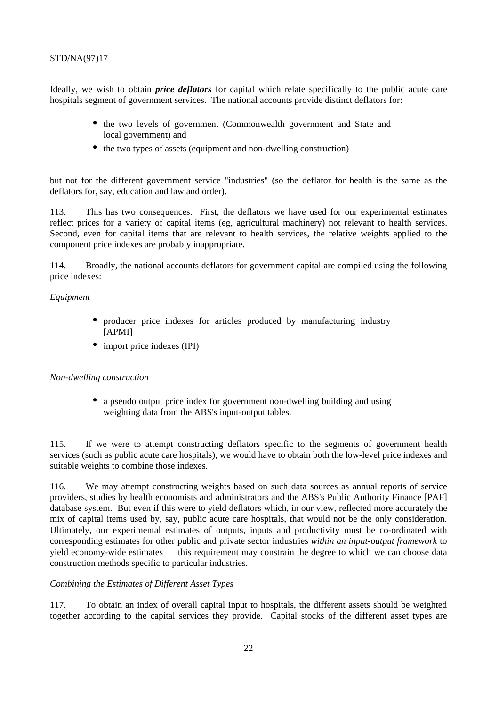Ideally, we wish to obtain *price deflators* for capital which relate specifically to the public acute care hospitals segment of government services. The national accounts provide distinct deflators for:

- the two levels of government (Commonwealth government and State and local government) and
- the two types of assets (equipment and non-dwelling construction)

but not for the different government service "industries" (so the deflator for health is the same as the deflators for, say, education and law and order).

113. This has two consequences. First, the deflators we have used for our experimental estimates reflect prices for a variety of capital items (eg, agricultural machinery) not relevant to health services. Second, even for capital items that are relevant to health services, the relative weights applied to the component price indexes are probably inappropriate.

114. Broadly, the national accounts deflators for government capital are compiled using the following price indexes:

#### *Equipment*

- producer price indexes for articles produced by manufacturing industry [APMI]
- import price indexes (IPI)

#### *Non-dwelling construction*

• a pseudo output price index for government non-dwelling building and using weighting data from the ABS's input-output tables.

115. If we were to attempt constructing deflators specific to the segments of government health services (such as public acute care hospitals), we would have to obtain both the low-level price indexes and suitable weights to combine those indexes.

116. We may attempt constructing weights based on such data sources as annual reports of service providers, studies by health economists and administrators and the ABS's Public Authority Finance [PAF] database system. But even if this were to yield deflators which, in our view, reflected more accurately the mix of capital items used by, say, public acute care hospitals, that would not be the only consideration. Ultimately, our experimental estimates of outputs, inputs and productivity must be co-ordinated with corresponding estimates for other public and private sector industries *within an input-output framework* to yield economy-wide estimates — this requirement may constrain the degree to which we can choose data construction methods specific to particular industries.

#### *Combining the Estimates of Different Asset Types*

117. To obtain an index of overall capital input to hospitals, the different assets should be weighted together according to the capital services they provide. Capital stocks of the different asset types are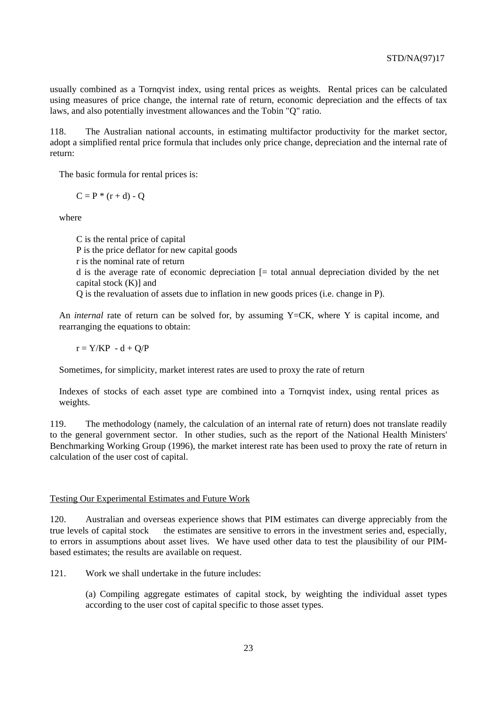usually combined as a Tornqvist index, using rental prices as weights. Rental prices can be calculated using measures of price change, the internal rate of return, economic depreciation and the effects of tax laws, and also potentially investment allowances and the Tobin "Q" ratio.

118. The Australian national accounts, in estimating multifactor productivity for the market sector, adopt a simplified rental price formula that includes only price change, depreciation and the internal rate of return:

The basic formula for rental prices is:

 $C = P * (r + d) - O$ 

where

C is the rental price of capital P is the price deflator for new capital goods r is the nominal rate of return d is the average rate of economic depreciation [= total annual depreciation divided by the net capital stock  $(K)$ ] and Q is the revaluation of assets due to inflation in new goods prices (i.e. change in P).

An *internal* rate of return can be solved for, by assuming Y=CK, where Y is capital income, and rearranging the equations to obtain:

 $r = Y/KP - d + O/P$ 

Sometimes, for simplicity, market interest rates are used to proxy the rate of return

Indexes of stocks of each asset type are combined into a Tornqvist index, using rental prices as weights.

119. The methodology (namely, the calculation of an internal rate of return) does not translate readily to the general government sector. In other studies, such as the report of the National Health Ministers' Benchmarking Working Group (1996), the market interest rate has been used to proxy the rate of return in calculation of the user cost of capital.

#### Testing Our Experimental Estimates and Future Work

120. Australian and overseas experience shows that PIM estimates can diverge appreciably from the true levels of capital stock — the estimates are sensitive to errors in the investment series and, especially, to errors in assumptions about asset lives. We have used other data to test the plausibility of our PIMbased estimates; the results are available on request.

121. Work we shall undertake in the future includes:

(a) Compiling aggregate estimates of capital stock, by weighting the individual asset types according to the user cost of capital specific to those asset types.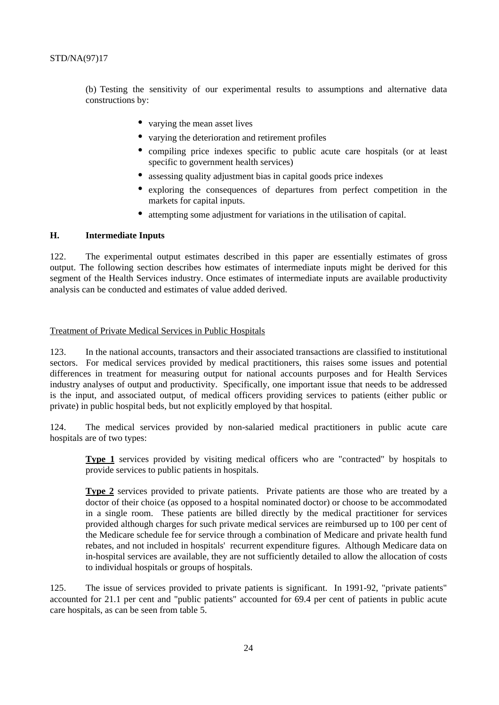(b) Testing the sensitivity of our experimental results to assumptions and alternative data constructions by:

- varying the mean asset lives
- varying the deterioration and retirement profiles
- compiling price indexes specific to public acute care hospitals (or at least specific to government health services)
- assessing quality adjustment bias in capital goods price indexes
- exploring the consequences of departures from perfect competition in the markets for capital inputs.
- attempting some adjustment for variations in the utilisation of capital.

#### **H. Intermediate Inputs**

122. The experimental output estimates described in this paper are essentially estimates of gross output. The following section describes how estimates of intermediate inputs might be derived for this segment of the Health Services industry. Once estimates of intermediate inputs are available productivity analysis can be conducted and estimates of value added derived.

#### Treatment of Private Medical Services in Public Hospitals

123. In the national accounts, transactors and their associated transactions are classified to institutional sectors. For medical services provided by medical practitioners, this raises some issues and potential differences in treatment for measuring output for national accounts purposes and for Health Services industry analyses of output and productivity. Specifically, one important issue that needs to be addressed is the input, and associated output, of medical officers providing services to patients (either public or private) in public hospital beds, but not explicitly employed by that hospital.

124. The medical services provided by non-salaried medical practitioners in public acute care hospitals are of two types:

**Type 1** services provided by visiting medical officers who are "contracted" by hospitals to provide services to public patients in hospitals.

**Type 2** services provided to private patients. Private patients are those who are treated by a doctor of their choice (as opposed to a hospital nominated doctor) or choose to be accommodated in a single room. These patients are billed directly by the medical practitioner for services provided although charges for such private medical services are reimbursed up to 100 per cent of the Medicare schedule fee for service through a combination of Medicare and private health fund rebates, and not included in hospitals' recurrent expenditure figures. Although Medicare data on in-hospital services are available, they are not sufficiently detailed to allow the allocation of costs to individual hospitals or groups of hospitals.

125. The issue of services provided to private patients is significant. In 1991-92, "private patients" accounted for 21.1 per cent and "public patients" accounted for 69.4 per cent of patients in public acute care hospitals, as can be seen from table 5.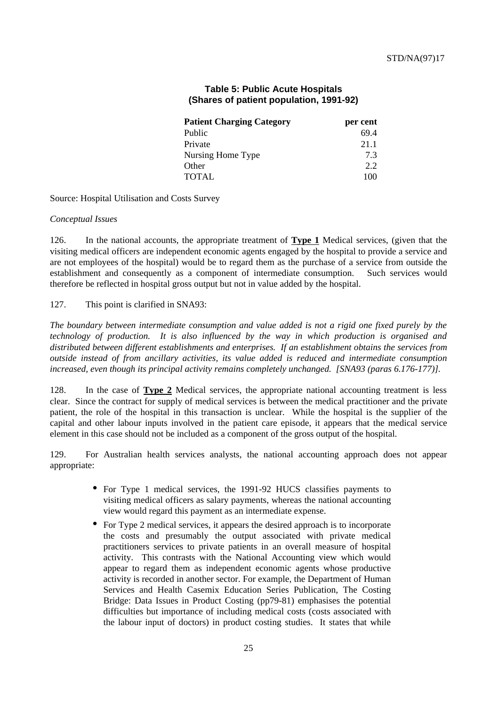| <b>Patient Charging Category</b> | per cent |
|----------------------------------|----------|
| Public                           | 69.4     |
| Private                          | 21.1     |
| Nursing Home Type                | 73       |
| Other                            | 2.2      |
| <b>TOTAL</b>                     | 100      |

# **Table 5: Public Acute Hospitals (Shares of patient population, 1991-92)**

Source: Hospital Utilisation and Costs Survey

#### *Conceptual Issues*

126. In the national accounts, the appropriate treatment of **Type 1** Medical services, (given that the visiting medical officers are independent economic agents engaged by the hospital to provide a service and are not employees of the hospital) would be to regard them as the purchase of a service from outside the establishment and consequently as a component of intermediate consumption. Such services would therefore be reflected in hospital gross output but not in value added by the hospital.

127. This point is clarified in SNA93:

*The boundary between intermediate consumption and value added is not a rigid one fixed purely by the technology of production. It is also influenced by the way in which production is organised and distributed between different establishments and enterprises. If an establishment obtains the services from outside instead of from ancillary activities, its value added is reduced and intermediate consumption increased, even though its principal activity remains completely unchanged. [SNA93 (paras 6.176-177)].*

128. In the case of **Type 2** Medical services, the appropriate national accounting treatment is less clear. Since the contract for supply of medical services is between the medical practitioner and the private patient, the role of the hospital in this transaction is unclear. While the hospital is the supplier of the capital and other labour inputs involved in the patient care episode, it appears that the medical service element in this case should not be included as a component of the gross output of the hospital.

129. For Australian health services analysts, the national accounting approach does not appear appropriate:

- For Type 1 medical services, the 1991-92 HUCS classifies payments to visiting medical officers as salary payments, whereas the national accounting view would regard this payment as an intermediate expense.
- For Type 2 medical services, it appears the desired approach is to incorporate the costs and presumably the output associated with private medical practitioners services to private patients in an overall measure of hospital activity. This contrasts with the National Accounting view which would appear to regard them as independent economic agents whose productive activity is recorded in another sector. For example, the Department of Human Services and Health Casemix Education Series Publication, The Costing Bridge: Data Issues in Product Costing (pp79-81) emphasises the potential difficulties but importance of including medical costs (costs associated with the labour input of doctors) in product costing studies. It states that while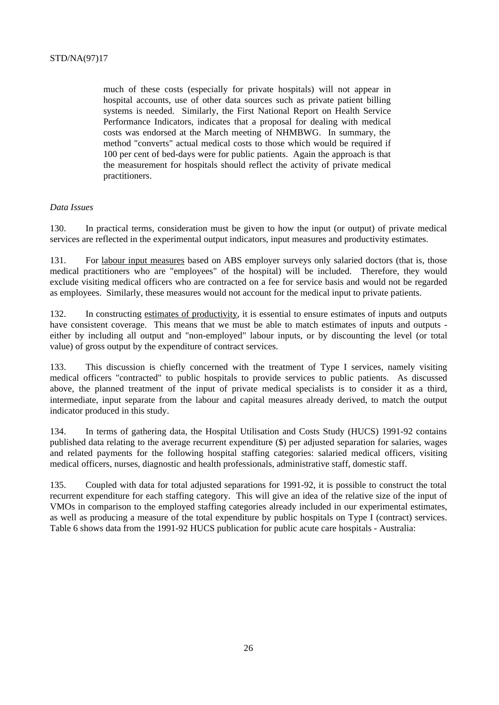much of these costs (especially for private hospitals) will not appear in hospital accounts, use of other data sources such as private patient billing systems is needed. Similarly, the First National Report on Health Service Performance Indicators, indicates that a proposal for dealing with medical costs was endorsed at the March meeting of NHMBWG. In summary, the method "converts" actual medical costs to those which would be required if 100 per cent of bed-days were for public patients. Again the approach is that the measurement for hospitals should reflect the activity of private medical practitioners.

# *Data Issues*

130. In practical terms, consideration must be given to how the input (or output) of private medical services are reflected in the experimental output indicators, input measures and productivity estimates.

131. For labour input measures based on ABS employer surveys only salaried doctors (that is, those medical practitioners who are "employees" of the hospital) will be included. Therefore, they would exclude visiting medical officers who are contracted on a fee for service basis and would not be regarded as employees. Similarly, these measures would not account for the medical input to private patients.

132. In constructing estimates of productivity, it is essential to ensure estimates of inputs and outputs have consistent coverage. This means that we must be able to match estimates of inputs and outputs either by including all output and "non-employed" labour inputs, or by discounting the level (or total value) of gross output by the expenditure of contract services.

133. This discussion is chiefly concerned with the treatment of Type I services, namely visiting medical officers "contracted" to public hospitals to provide services to public patients. As discussed above, the planned treatment of the input of private medical specialists is to consider it as a third, intermediate, input separate from the labour and capital measures already derived, to match the output indicator produced in this study.

134. In terms of gathering data, the Hospital Utilisation and Costs Study (HUCS) 1991-92 contains published data relating to the average recurrent expenditure (\$) per adjusted separation for salaries, wages and related payments for the following hospital staffing categories: salaried medical officers, visiting medical officers, nurses, diagnostic and health professionals, administrative staff, domestic staff.

135. Coupled with data for total adjusted separations for 1991-92, it is possible to construct the total recurrent expenditure for each staffing category. This will give an idea of the relative size of the input of VMOs in comparison to the employed staffing categories already included in our experimental estimates, as well as producing a measure of the total expenditure by public hospitals on Type I (contract) services. Table 6 shows data from the 1991-92 HUCS publication for public acute care hospitals - Australia: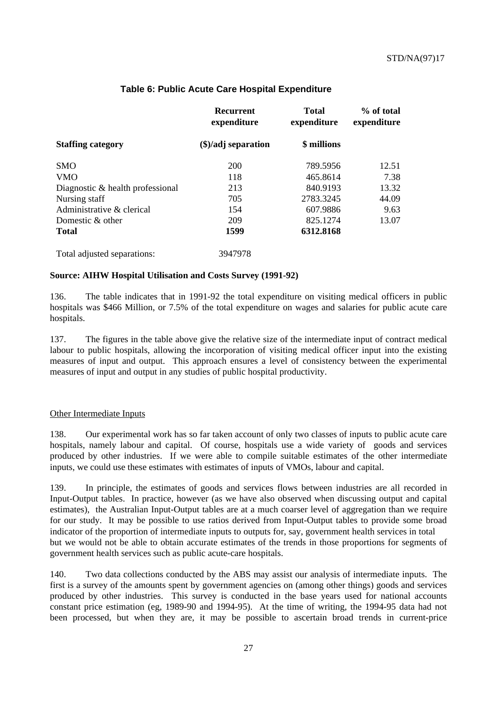|                                  | Recurrent<br>expenditure      | <b>Total</b><br>expenditure | % of total<br>expenditure |
|----------------------------------|-------------------------------|-----------------------------|---------------------------|
| <b>Staffing category</b>         | $(\$)/\text{adj}\$ separation | \$ millions                 |                           |
| <b>SMO</b>                       | 200                           | 789.5956                    | 12.51                     |
| <b>VMO</b>                       | 118                           | 465.8614                    | 7.38                      |
| Diagnostic & health professional | 213                           | 840.9193                    | 13.32                     |
| Nursing staff                    | 705                           | 2783.3245                   | 44.09                     |
| Administrative & clerical        | 154                           | 607.9886                    | 9.63                      |
| Domestic & other                 | 209                           | 825.1274                    | 13.07                     |
| Total                            | 1599                          | 6312.8168                   |                           |
| Total adjusted separations:      | 3947978                       |                             |                           |

# **Table 6: Public Acute Care Hospital Expenditure**

#### **Source: AIHW Hospital Utilisation and Costs Survey (1991-92)**

136. The table indicates that in 1991-92 the total expenditure on visiting medical officers in public hospitals was \$466 Million, or 7.5% of the total expenditure on wages and salaries for public acute care hospitals.

137. The figures in the table above give the relative size of the intermediate input of contract medical labour to public hospitals, allowing the incorporation of visiting medical officer input into the existing measures of input and output. This approach ensures a level of consistency between the experimental measures of input and output in any studies of public hospital productivity.

#### Other Intermediate Inputs

138. Our experimental work has so far taken account of only two classes of inputs to public acute care hospitals, namely labour and capital. Of course, hospitals use a wide variety of goods and services produced by other industries. If we were able to compile suitable estimates of the other intermediate inputs, we could use these estimates with estimates of inputs of VMOs, labour and capital.

139. In principle, the estimates of goods and services flows between industries are all recorded in Input-Output tables. In practice, however (as we have also observed when discussing output and capital estimates), the Australian Input-Output tables are at a much coarser level of aggregation than we require for our study. It may be possible to use ratios derived from Input-Output tables to provide some broad indicator of the proportion of intermediate inputs to outputs for, say, government health services in total but we would not be able to obtain accurate estimates of the trends in those proportions for segments of government health services such as public acute-care hospitals.

140. Two data collections conducted by the ABS may assist our analysis of intermediate inputs. The first is a survey of the amounts spent by government agencies on (among other things) goods and services produced by other industries. This survey is conducted in the base years used for national accounts constant price estimation (eg, 1989-90 and 1994-95). At the time of writing, the 1994-95 data had not been processed, but when they are, it may be possible to ascertain broad trends in current-price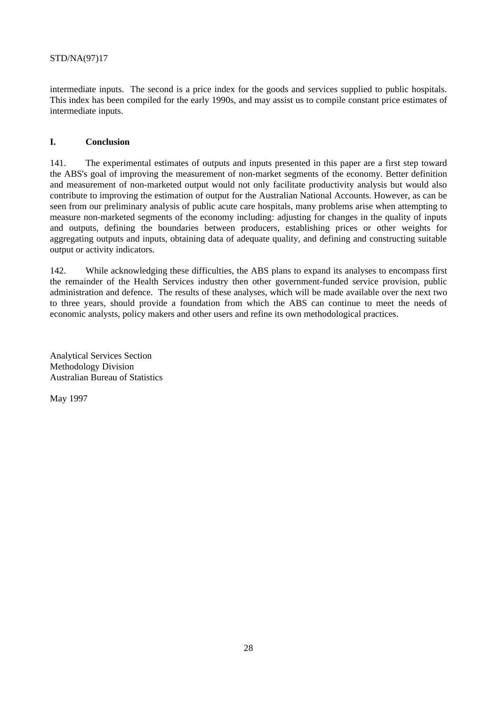intermediate inputs. The second is a price index for the goods and services supplied to public hospitals. This index has been compiled for the early 1990s, and may assist us to compile constant price estimates of intermediate inputs.

# **I. Conclusion**

141. The experimental estimates of outputs and inputs presented in this paper are a first step toward the ABS's goal of improving the measurement of non-market segments of the economy. Better definition and measurement of non-marketed output would not only facilitate productivity analysis but would also contribute to improving the estimation of output for the Australian National Accounts. However, as can be seen from our preliminary analysis of public acute care hospitals, many problems arise when attempting to measure non-marketed segments of the economy including: adjusting for changes in the quality of inputs and outputs, defining the boundaries between producers, establishing prices or other weights for aggregating outputs and inputs, obtaining data of adequate quality, and defining and constructing suitable output or activity indicators.

142. While acknowledging these difficulties, the ABS plans to expand its analyses to encompass first the remainder of the Health Services industry then other government-funded service provision, public administration and defence. The results of these analyses, which will be made available over the next two to three years, should provide a foundation from which the ABS can continue to meet the needs of economic analysts, policy makers and other users and refine its own methodological practices.

Analytical Services Section Methodology Division Australian Bureau of Statistics

May 1997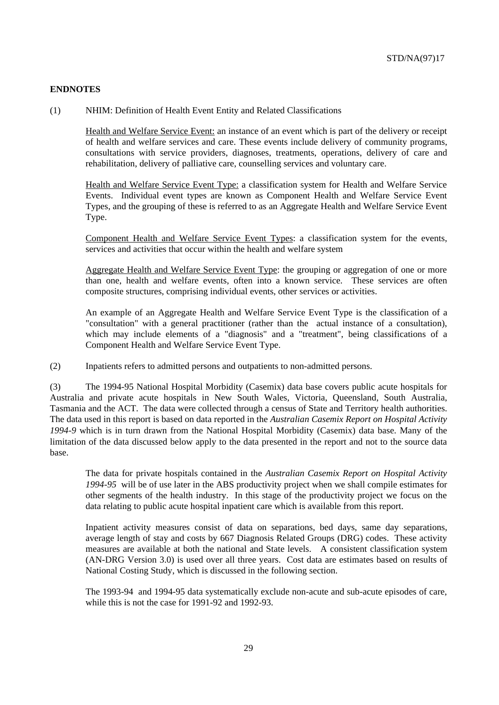#### **ENDNOTES**

(1) NHIM: Definition of Health Event Entity and Related Classifications

Health and Welfare Service Event: an instance of an event which is part of the delivery or receipt of health and welfare services and care. These events include delivery of community programs, consultations with service providers, diagnoses, treatments, operations, delivery of care and rehabilitation, delivery of palliative care, counselling services and voluntary care.

Health and Welfare Service Event Type: a classification system for Health and Welfare Service Events. Individual event types are known as Component Health and Welfare Service Event Types, and the grouping of these is referred to as an Aggregate Health and Welfare Service Event Type.

Component Health and Welfare Service Event Types: a classification system for the events, services and activities that occur within the health and welfare system

Aggregate Health and Welfare Service Event Type: the grouping or aggregation of one or more than one, health and welfare events, often into a known service. These services are often composite structures, comprising individual events, other services or activities.

An example of an Aggregate Health and Welfare Service Event Type is the classification of a "consultation" with a general practitioner (rather than the actual instance of a consultation), which may include elements of a "diagnosis" and a "treatment", being classifications of a Component Health and Welfare Service Event Type.

(2) Inpatients refers to admitted persons and outpatients to non-admitted persons.

(3) The 1994-95 National Hospital Morbidity (Casemix) data base covers public acute hospitals for Australia and private acute hospitals in New South Wales, Victoria, Queensland, South Australia, Tasmania and the ACT. The data were collected through a census of State and Territory health authorities. The data used in this report is based on data reported in the *Australian Casemix Report on Hospital Activity 1994-9* which is in turn drawn from the National Hospital Morbidity (Casemix) data base. Many of the limitation of the data discussed below apply to the data presented in the report and not to the source data base.

The data for private hospitals contained in the *Australian Casemix Report on Hospital Activity 1994-95* will be of use later in the ABS productivity project when we shall compile estimates for other segments of the health industry. In this stage of the productivity project we focus on the data relating to public acute hospital inpatient care which is available from this report.

Inpatient activity measures consist of data on separations, bed days, same day separations, average length of stay and costs by 667 Diagnosis Related Groups (DRG) codes. These activity measures are available at both the national and State levels. A consistent classification system (AN-DRG Version 3.0) is used over all three years. Cost data are estimates based on results of National Costing Study, which is discussed in the following section.

The 1993-94 and 1994-95 data systematically exclude non-acute and sub-acute episodes of care, while this is not the case for 1991-92 and 1992-93.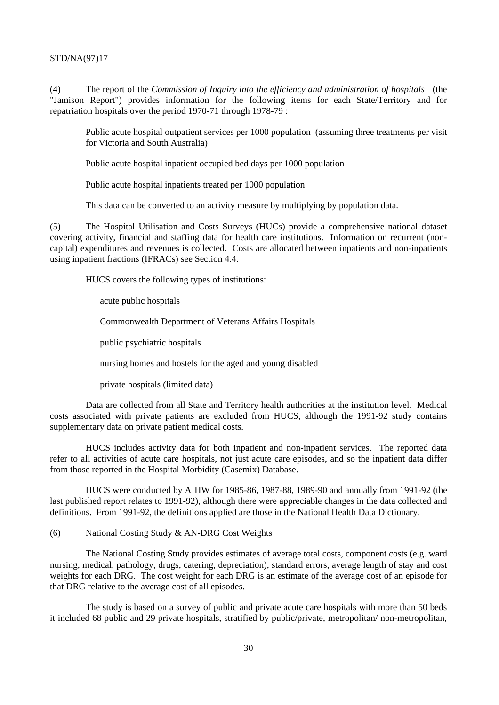(4) The report of the *Commission of Inquiry into the efficiency and administration of hospitals* (the "Jamison Report") provides information for the following items for each State/Territory and for repatriation hospitals over the period 1970-71 through 1978-79 :

Public acute hospital outpatient services per 1000 population (assuming three treatments per visit for Victoria and South Australia)

Public acute hospital inpatient occupied bed days per 1000 population

Public acute hospital inpatients treated per 1000 population

This data can be converted to an activity measure by multiplying by population data.

(5) The Hospital Utilisation and Costs Surveys (HUCs) provide a comprehensive national dataset covering activity, financial and staffing data for health care institutions. Information on recurrent (noncapital) expenditures and revenues is collected. Costs are allocated between inpatients and non-inpatients using inpatient fractions (IFRACs) see Section 4.4.

HUCS covers the following types of institutions:

acute public hospitals

Commonwealth Department of Veterans Affairs Hospitals

public psychiatric hospitals

nursing homes and hostels for the aged and young disabled

private hospitals (limited data)

Data are collected from all State and Territory health authorities at the institution level. Medical costs associated with private patients are excluded from HUCS, although the 1991-92 study contains supplementary data on private patient medical costs.

HUCS includes activity data for both inpatient and non-inpatient services. The reported data refer to all activities of acute care hospitals, not just acute care episodes, and so the inpatient data differ from those reported in the Hospital Morbidity (Casemix) Database.

HUCS were conducted by AIHW for 1985-86, 1987-88, 1989-90 and annually from 1991-92 (the last published report relates to 1991-92), although there were appreciable changes in the data collected and definitions. From 1991-92, the definitions applied are those in the National Health Data Dictionary.

(6) National Costing Study & AN-DRG Cost Weights

The National Costing Study provides estimates of average total costs, component costs (e.g. ward nursing, medical, pathology, drugs, catering, depreciation), standard errors, average length of stay and cost weights for each DRG. The cost weight for each DRG is an estimate of the average cost of an episode for that DRG relative to the average cost of all episodes.

The study is based on a survey of public and private acute care hospitals with more than 50 beds it included 68 public and 29 private hospitals, stratified by public/private, metropolitan/ non-metropolitan,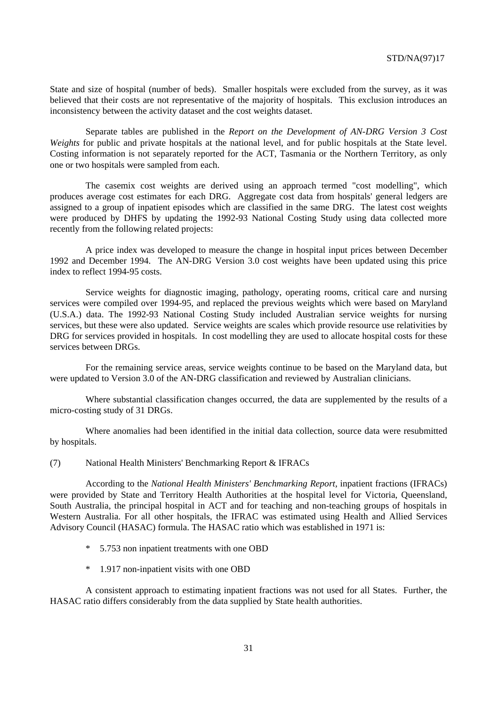State and size of hospital (number of beds). Smaller hospitals were excluded from the survey, as it was believed that their costs are not representative of the majority of hospitals. This exclusion introduces an inconsistency between the activity dataset and the cost weights dataset.

Separate tables are published in the *Report on the Development of AN-DRG Version 3 Cost Weights* for public and private hospitals at the national level, and for public hospitals at the State level. Costing information is not separately reported for the ACT, Tasmania or the Northern Territory, as only one or two hospitals were sampled from each.

The casemix cost weights are derived using an approach termed "cost modelling", which produces average cost estimates for each DRG. Aggregate cost data from hospitals' general ledgers are assigned to a group of inpatient episodes which are classified in the same DRG. The latest cost weights were produced by DHFS by updating the 1992-93 National Costing Study using data collected more recently from the following related projects:

A price index was developed to measure the change in hospital input prices between December 1992 and December 1994. The AN-DRG Version 3.0 cost weights have been updated using this price index to reflect 1994-95 costs.

Service weights for diagnostic imaging, pathology, operating rooms, critical care and nursing services were compiled over 1994-95, and replaced the previous weights which were based on Maryland (U.S.A.) data. The 1992-93 National Costing Study included Australian service weights for nursing services, but these were also updated. Service weights are scales which provide resource use relativities by DRG for services provided in hospitals. In cost modelling they are used to allocate hospital costs for these services between DRGs.

For the remaining service areas, service weights continue to be based on the Maryland data, but were updated to Version 3.0 of the AN-DRG classification and reviewed by Australian clinicians.

Where substantial classification changes occurred, the data are supplemented by the results of a micro-costing study of 31 DRGs.

Where anomalies had been identified in the initial data collection, source data were resubmitted by hospitals.

(7) National Health Ministers' Benchmarking Report & IFRACs

According to the *National Health Ministers' Benchmarking Report,* inpatient fractions (IFRACs) were provided by State and Territory Health Authorities at the hospital level for Victoria, Queensland, South Australia, the principal hospital in ACT and for teaching and non-teaching groups of hospitals in Western Australia. For all other hospitals, the IFRAC was estimated using Health and Allied Services Advisory Council (HASAC) formula. The HASAC ratio which was established in 1971 is:

- 5.753 non inpatient treatments with one OBD
- \* 1.917 non-inpatient visits with one OBD

A consistent approach to estimating inpatient fractions was not used for all States. Further, the HASAC ratio differs considerably from the data supplied by State health authorities.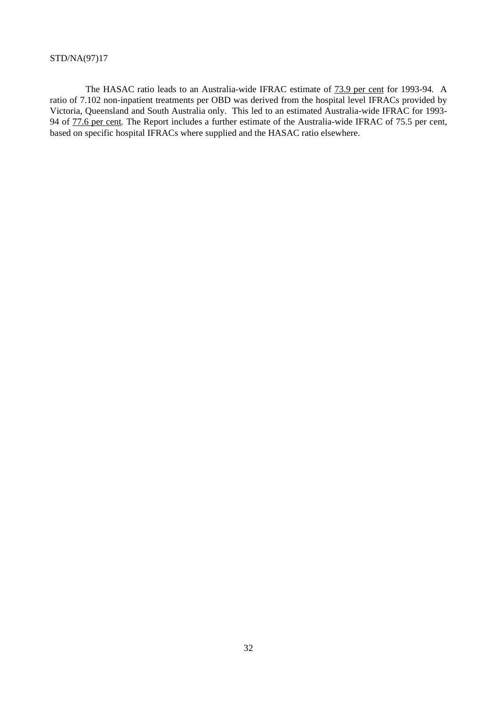The HASAC ratio leads to an Australia-wide IFRAC estimate of 73.9 per cent for 1993-94*.* A ratio of 7.102 non-inpatient treatments per OBD was derived from the hospital level IFRACs provided by Victoria, Queensland and South Australia only. This led to an estimated Australia-wide IFRAC for 1993- 94 of 77.6 per cent*.* The Report includes a further estimate of the Australia-wide IFRAC of 75.5 per cent, based on specific hospital IFRACs where supplied and the HASAC ratio elsewhere.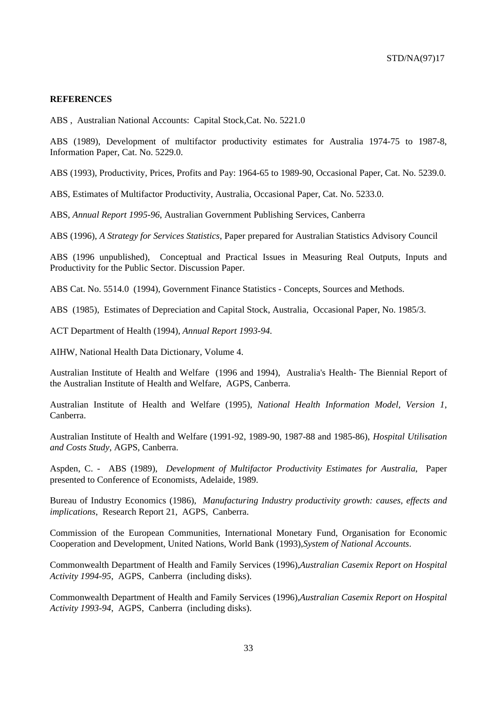#### **REFERENCES**

ABS , Australian National Accounts: Capital Stock,Cat. No. 5221.0

ABS (1989), Development of multifactor productivity estimates for Australia 1974-75 to 1987-8, Information Paper, Cat. No. 5229.0.

ABS (1993), Productivity, Prices, Profits and Pay: 1964-65 to 1989-90, Occasional Paper, Cat. No. 5239.0.

ABS, Estimates of Multifactor Productivity, Australia, Occasional Paper, Cat. No. 5233.0.

ABS, *Annual Report 1995-96*, Australian Government Publishing Services, Canberra

ABS (1996), *A Strategy for Services Statistics*, Paper prepared for Australian Statistics Advisory Council

ABS (1996 unpublished), Conceptual and Practical Issues in Measuring Real Outputs, Inputs and Productivity for the Public Sector. Discussion Paper.

ABS Cat. No. 5514.0 (1994), Government Finance Statistics - Concepts, Sources and Methods.

ABS (1985), Estimates of Depreciation and Capital Stock, Australia, Occasional Paper, No. 1985/3.

ACT Department of Health (1994), *Annual Report 1993-94.*

AIHW, National Health Data Dictionary, Volume 4.

Australian Institute of Health and Welfare (1996 and 1994), Australia's Health- The Biennial Report of the Australian Institute of Health and Welfare, AGPS, Canberra.

Australian Institute of Health and Welfare (1995), *National Health Information Model, Version 1*, Canberra.

Australian Institute of Health and Welfare (1991-92, 1989-90, 1987-88 and 1985-86), *Hospital Utilisation and Costs Study*, AGPS, Canberra.

Aspden, C. - ABS (1989), *Development of Multifactor Productivity Estimates for Australia*, Paper presented to Conference of Economists, Adelaide, 1989.

Bureau of Industry Economics (1986), *Manufacturing Industry productivity growth: causes, effects and implications*, Research Report 21, AGPS, Canberra.

Commission of the European Communities, International Monetary Fund, Organisation for Economic Cooperation and Development, United Nations, World Bank (1993),*System of National Accounts*.

Commonwealth Department of Health and Family Services (1996),*Australian Casemix Report on Hospital Activity 1994-95*, AGPS, Canberra (including disks).

Commonwealth Department of Health and Family Services (1996),*Australian Casemix Report on Hospital Activity 1993-94*, AGPS, Canberra (including disks).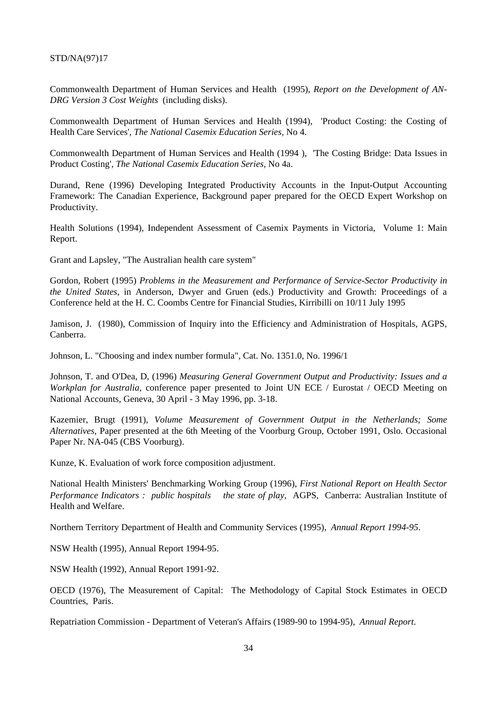Commonwealth Department of Human Services and Health (1995), *Report on the Development of AN-DRG Version 3 Cost Weights* (including disks).

Commonwealth Department of Human Services and Health (1994), 'Product Costing: the Costing of Health Care Services'*, The National Casemix Education Series,* No 4.

Commonwealth Department of Human Services and Health (1994 ), 'The Costing Bridge: Data Issues in Product Costing'*, The National Casemix Education Series,* No 4a.

Durand, Rene (1996) Developing Integrated Productivity Accounts in the Input-Output Accounting Framework: The Canadian Experience, Background paper prepared for the OECD Expert Workshop on Productivity.

Health Solutions (1994), Independent Assessment of Casemix Payments in Victoria, Volume 1: Main Report.

Grant and Lapsley, "The Australian health care system"

Gordon, Robert (1995) *Problems in the Measurement and Performance of Service-Sector Productivity in the United States*, in Anderson, Dwyer and Gruen (eds.) Productivity and Growth: Proceedings of a Conferenc*e* held at the H. C. Coombs Centre for Financial Studies, Kirribilli on 10/11 July 1995

Jamison, J. (1980), Commission of Inquiry into the Efficiency and Administration of Hospitals, AGPS, Canberra.

Johnson, L. "Choosing and index number formula", Cat. No. 1351.0, No. 1996/1

Johnson, T. and O'Dea, D, (1996) *Measuring General Government Output and Productivity: Issues and a Workplan for Australia*, conference paper presented to Joint UN ECE / Eurostat / OECD Meeting on National Accounts, Geneva, 30 April - 3 May 1996, pp. 3-18.

Kazemier, Brugt (1991), *Volume Measurement of Government Output in the Netherlands; Some Alternatives*, Paper presented at the 6th Meeting of the Voorburg Group, October 1991, Oslo. Occasional Paper Nr. NA-045 (CBS Voorburg).

Kunze, K. Evaluation of work force composition adjustment.

National Health Ministers' Benchmarking Working Group (1996), *First National Report on Health Sector Performance Indicators : public hospitals*— the state of play, AGPS, Canberra: Australian Institute of Health and Welfare.

Northern Territory Department of Health and Community Services (1995), *Annual Report 1994-95.*

NSW Health (1995), Annual Report 1994-95.

NSW Health (1992), Annual Report 1991-92.

OECD (1976), The Measurement of Capital: The Methodology of Capital Stock Estimates in OECD Countries, Paris.

Repatriation Commission - Department of Veteran's Affairs (1989-90 to 1994-95), *Annual Report*.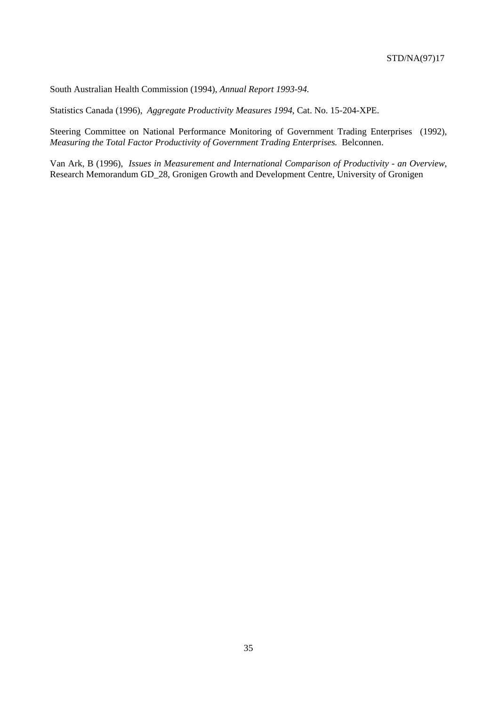South Australian Health Commission (1994), *Annual Report 1993-94.*

Statistics Canada (1996), *Aggregate Productivity Measures 1994*, Cat. No. 15-204-XPE.

Steering Committee on National Performance Monitoring of Government Trading Enterprises (1992), *Measuring the Total Factor Productivity of Government Trading Enterprises.* Belconnen.

Van Ark, B (1996), *Issues in Measurement and International Comparison of Productivity - an Overview*, Research Memorandum GD\_28, Gronigen Growth and Development Centre, University of Gronigen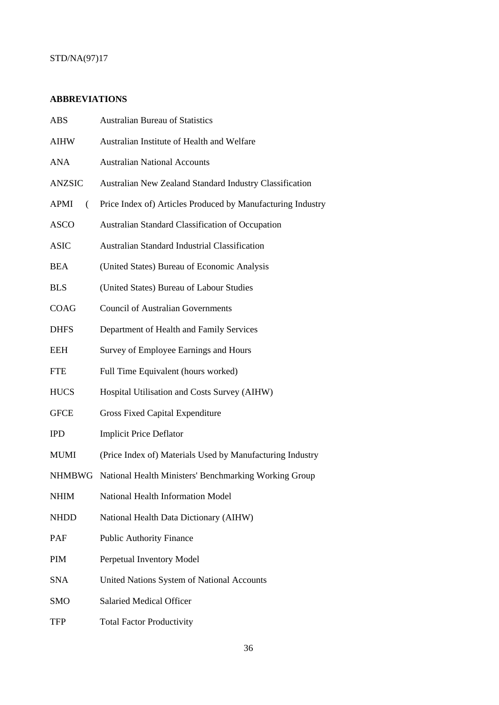# **ABBREVIATIONS**

| ABS              | <b>Australian Bureau of Statistics</b>                         |
|------------------|----------------------------------------------------------------|
| <b>AIHW</b>      | Australian Institute of Health and Welfare                     |
| ANA              | <b>Australian National Accounts</b>                            |
| <b>ANZSIC</b>    | <b>Australian New Zealand Standard Industry Classification</b> |
| <b>APMI</b><br>€ | Price Index of) Articles Produced by Manufacturing Industry    |
| <b>ASCO</b>      | Australian Standard Classification of Occupation               |
| <b>ASIC</b>      | <b>Australian Standard Industrial Classification</b>           |
| <b>BEA</b>       | (United States) Bureau of Economic Analysis                    |
| <b>BLS</b>       | (United States) Bureau of Labour Studies                       |
| COAG             | <b>Council of Australian Governments</b>                       |
| <b>DHFS</b>      | Department of Health and Family Services                       |
| <b>EEH</b>       | Survey of Employee Earnings and Hours                          |
| <b>FTE</b>       | Full Time Equivalent (hours worked)                            |
| <b>HUCS</b>      | Hospital Utilisation and Costs Survey (AIHW)                   |
| <b>GFCE</b>      | <b>Gross Fixed Capital Expenditure</b>                         |
| <b>IPD</b>       | <b>Implicit Price Deflator</b>                                 |
| <b>MUMI</b>      | (Price Index of) Materials Used by Manufacturing Industry      |
|                  | NHMBWG National Health Ministers' Benchmarking Working Group   |
| <b>NHIM</b>      | National Health Information Model                              |
| <b>NHDD</b>      | National Health Data Dictionary (AIHW)                         |
| PAF              | <b>Public Authority Finance</b>                                |
| <b>PIM</b>       | Perpetual Inventory Model                                      |
| <b>SNA</b>       | United Nations System of National Accounts                     |
| <b>SMO</b>       | <b>Salaried Medical Officer</b>                                |
| TFP              | <b>Total Factor Productivity</b>                               |